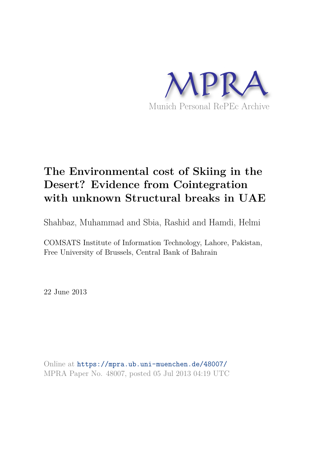

# **The Environmental cost of Skiing in the Desert? Evidence from Cointegration with unknown Structural breaks in UAE**

Shahbaz, Muhammad and Sbia, Rashid and Hamdi, Helmi

COMSATS Institute of Information Technology, Lahore, Pakistan, Free University of Brussels, Central Bank of Bahrain

22 June 2013

Online at https://mpra.ub.uni-muenchen.de/48007/ MPRA Paper No. 48007, posted 05 Jul 2013 04:19 UTC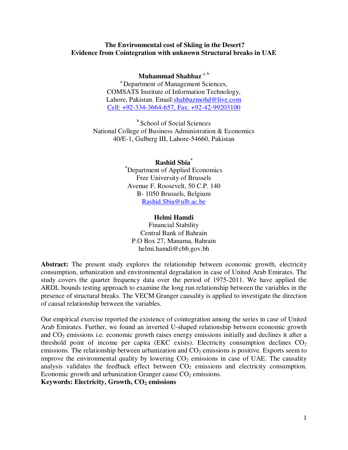#### **The Environmental cost of Skiing in the Desert? Evidence from Cointegration with unknown Structural breaks in UAE**

#### **Muhammad Shahbaz** a, b

<sup>a</sup>Department of Management Sciences, COMSATS Institute of Information Technology, Lahore, Pakistan. Email: shahbazmohd@live.com Cell: +92-334-3664-657, Fax: +92-42-99203100

<sup>b</sup> School of Social Sciences National College of Business Administration & Economics 40/E-1, Gulberg III, Lahore-54660, Pakistan

> **Rashid Sbia\* \***Department of Applied Economics Free University of Brussels Avenue F. Roosevelt, 50 C.P. 140 B- 1050 Brussels, Belgium Rashid.Sbia@ulb.ac.be

#### **Helmi Hamdi**

Financial Stability Central Bank of Bahrain P.O Box 27, Manama, Bahrain helmi.hamdi@cbb.gov.bh

Abstract: The present study explores the relationship between economic growth, electricity consumption, urbanization and environmental degradation in case of United Arab Emirates. The study covers the quarter frequency data over the period of 1975-2011. We have applied the ARDL bounds testing approach to examine the long run relationship between the variables in the presence of structural breaks. The VECM Granger causality is applied to investigate the direction of causal relationship between the variables.

Our empirical exercise reported the existence of cointegration among the series in case of United Arab Emirates. Further, we found an inverted U-shaped relationship between economic growth and  $CO<sub>2</sub>$  emissions i.e. economic growth raises energy emissions initially and declines it after a threshold point of income per capita (EKC exists). Electricity consumption declines  $CO<sub>2</sub>$ emissions. The relationship between urbanization and  $CO<sub>2</sub>$  emissions is positive. Exports seem to improve the environmental quality by lowering  $CO<sub>2</sub>$  emissions in case of UAE. The causality analysis validates the feedback effect between  $CO<sub>2</sub>$  emissions and electricity consumption. Economic growth and urbanization Granger cause  $CO<sub>2</sub>$  emissions.

**Keywords: Electricity, Growth, CO2 emissions**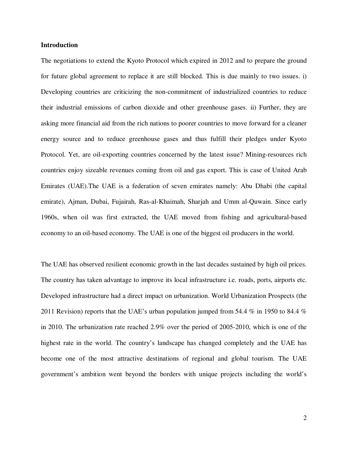#### **Introduction**

The negotiations to extend the Kyoto Protocol which expired in 2012 and to prepare the ground for future global agreement to replace it are still blocked. This is due mainly to two issues. i) Developing countries are criticizing the non-commitment of industrialized countries to reduce their industrial emissions of carbon dioxide and other greenhouse gases. ii) Further, they are asking more financial aid from the rich nations to poorer countries to move forward for a cleaner energy source and to reduce greenhouse gases and thus fulfill their pledges under Kyoto Protocol. Yet, are oil-exporting countries concerned by the latest issue? Mining-resources rich countries enjoy sizeable revenues coming from oil and gas export. This is case of United Arab Emirates (UAE).The UAE is a federation of seven emirates namely: Abu Dhabi (the capital emirate), Ajman, Dubai, Fujairah, Ras-al-Khaimah, Sharjah and Umm al-Quwain. Since early 1960s, when oil was first extracted, the UAE moved from fishing and agricultural-based economy to an oil-based economy. The UAE is one of the biggest oil producers in the world.

The UAE has observed resilient economic growth in the last decades sustained by high oil prices. The country has taken advantage to improve its local infrastructure i.e. roads, ports, airports etc. Developed infrastructure had a direct impact on urbanization. World Urbanization Prospects (the 2011 Revision) reports that the UAE's urban population jumped from 54.4 % in 1950 to 84.4 % in 2010. The urbanization rate reached 2.9% over the period of 2005-2010, which is one of the highest rate in the world. The country's landscape has changed completely and the UAE has become one of the most attractive destinations of regional and global tourism. The UAE government's ambition went beyond the borders with unique projects including the world's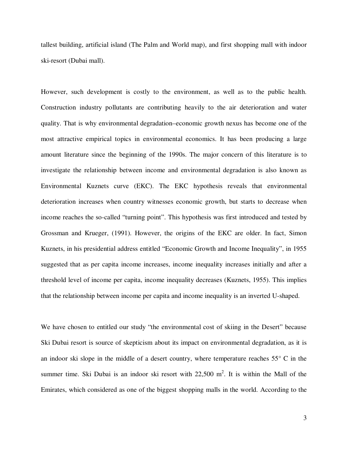tallest building, artificial island (The Palm and World map), and first shopping mall with indoor ski-resort (Dubai mall).

However, such development is costly to the environment, as well as to the public health. Construction industry pollutants are contributing heavily to the air deterioration and water quality. That is why environmental degradation–economic growth nexus has become one of the most attractive empirical topics in environmental economics. It has been producing a large amount literature since the beginning of the 1990s. The major concern of this literature is to investigate the relationship between income and environmental degradation is also known as Environmental Kuznets curve (EKC). The EKC hypothesis reveals that environmental deterioration increases when country witnesses economic growth, but starts to decrease when income reaches the so-called "turning point". This hypothesis was first introduced and tested by Grossman and Krueger, (1991). However, the origins of the EKC are older. In fact, Simon Kuznets, in his presidential address entitled "Economic Growth and Income Inequality", in 1955 suggested that as per capita income increases, income inequality increases initially and after a threshold level of income per capita, income inequality decreases (Kuznets, 1955). This implies that the relationship between income per capita and income inequality is an inverted U-shaped.

We have chosen to entitled our study "the environmental cost of skiing in the Desert" because Ski Dubai resort is source of skepticism about its impact on environmental degradation, as it is an indoor ski slope in the middle of a desert country, where temperature reaches 55° C in the summer time. Ski Dubai is an indoor ski resort with  $22,500$  m<sup>2</sup>. It is within the Mall of the Emirates, which considered as one of the biggest shopping malls in the world. According to the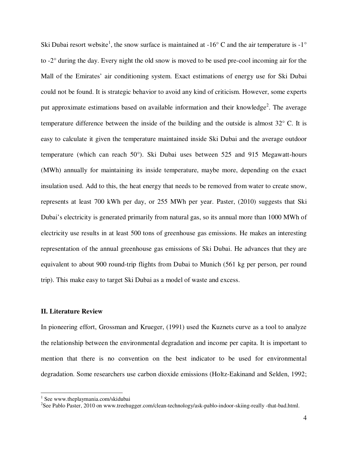Ski Dubai resort website<sup>1</sup>, the snow surface is maintained at  $-16^{\circ}$  C and the air temperature is  $-1^{\circ}$ to -2° during the day. Every night the old snow is moved to be used pre-cool incoming air for the Mall of the Emirates' air conditioning system. Exact estimations of energy use for Ski Dubai could not be found. It is strategic behavior to avoid any kind of criticism. However, some experts put approximate estimations based on available information and their knowledge<sup>2</sup>. The average temperature difference between the inside of the building and the outside is almost 32° C. It is easy to calculate it given the temperature maintained inside Ski Dubai and the average outdoor temperature (which can reach 50°). Ski Dubai uses between 525 and 915 Megawatt-hours (MWh) annually for maintaining its inside temperature, maybe more, depending on the exact insulation used. Add to this, the heat energy that needs to be removed from water to create snow, represents at least 700 kWh per day, or 255 MWh per year. Paster, (2010) suggests that Ski Dubai's electricity is generated primarily from natural gas, so its annual more than 1000 MWh of electricity use results in at least 500 tons of greenhouse gas emissions. He makes an interesting representation of the annual greenhouse gas emissions of Ski Dubai. He advances that they are equivalent to about 900 round-trip flights from Dubai to Munich (561 kg per person, per round trip). This make easy to target Ski Dubai as a model of waste and excess.

#### **II. Literature Review**

In pioneering effort, Grossman and Krueger, (1991) used the Kuznets curve as a tool to analyze the relationship between the environmental degradation and income per capita. It is important to mention that there is no convention on the best indicator to be used for environmental degradation. Some researchers use carbon dioxide emissions (Holtz-Eakinand and Selden, 1992;

 $\overline{a}$ 

<sup>1</sup> See www.theplaymania.com/skidubai

<sup>&</sup>lt;sup>2</sup>See Pablo Paster, 2010 on www.treehugger.com/clean-technology/ask-pablo-indoor-skiing-really -that-bad.html.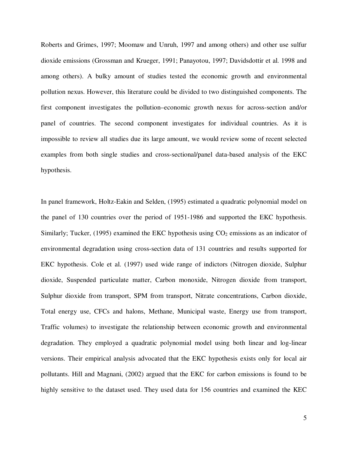Roberts and Grimes, 1997; Moomaw and Unruh, 1997 and among others) and other use sulfur dioxide emissions (Grossman and Krueger, 1991; Panayotou, 1997; Davidsdottir et al. 1998 and among others). A bulky amount of studies tested the economic growth and environmental pollution nexus. However, this literature could be divided to two distinguished components. The first component investigates the pollution–economic growth nexus for across-section and/or panel of countries. The second component investigates for individual countries. As it is impossible to review all studies due its large amount, we would review some of recent selected examples from both single studies and cross-sectional/panel data-based analysis of the EKC hypothesis.

In panel framework, Holtz-Eakin and Selden, (1995) estimated a quadratic polynomial model on the panel of 130 countries over the period of 1951-1986 and supported the EKC hypothesis. Similarly; Tucker, (1995) examined the EKC hypothesis using  $CO<sub>2</sub>$  emissions as an indicator of environmental degradation using cross-section data of 131 countries and results supported for EKC hypothesis. Cole et al. (1997) used wide range of indictors (Nitrogen dioxide, Sulphur dioxide, Suspended particulate matter, Carbon monoxide, Nitrogen dioxide from transport, Sulphur dioxide from transport, SPM from transport, Nitrate concentrations, Carbon dioxide, Total energy use, CFCs and halons, Methane, Municipal waste, Energy use from transport, Traffic volumes) to investigate the relationship between economic growth and environmental degradation. They employed a quadratic polynomial model using both linear and log-linear versions. Their empirical analysis advocated that the EKC hypothesis exists only for local air pollutants. Hill and Magnani, (2002) argued that the EKC for carbon emissions is found to be highly sensitive to the dataset used. They used data for 156 countries and examined the KEC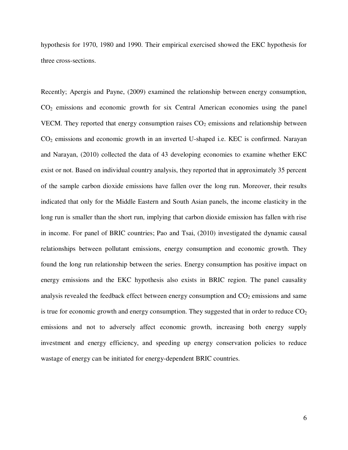hypothesis for 1970, 1980 and 1990. Their empirical exercised showed the EKC hypothesis for three cross-sections.

Recently; Apergis and Payne, (2009) examined the relationship between energy consumption, CO2 emissions and economic growth for six Central American economies using the panel VECM. They reported that energy consumption raises  $CO<sub>2</sub>$  emissions and relationship between  $CO<sub>2</sub>$  emissions and economic growth in an inverted U-shaped i.e. KEC is confirmed. Narayan and Narayan, (2010) collected the data of 43 developing economies to examine whether EKC exist or not. Based on individual country analysis, they reported that in approximately 35 percent of the sample carbon dioxide emissions have fallen over the long run. Moreover, their results indicated that only for the Middle Eastern and South Asian panels, the income elasticity in the long run is smaller than the short run, implying that carbon dioxide emission has fallen with rise in income. For panel of BRIC countries; Pao and Tsai, (2010) investigated the dynamic causal relationships between pollutant emissions, energy consumption and economic growth. They found the long run relationship between the series. Energy consumption has positive impact on energy emissions and the EKC hypothesis also exists in BRIC region. The panel causality analysis revealed the feedback effect between energy consumption and  $CO<sub>2</sub>$  emissions and same is true for economic growth and energy consumption. They suggested that in order to reduce  $CO<sub>2</sub>$ emissions and not to adversely affect economic growth, increasing both energy supply investment and energy efficiency, and speeding up energy conservation policies to reduce wastage of energy can be initiated for energy-dependent BRIC countries.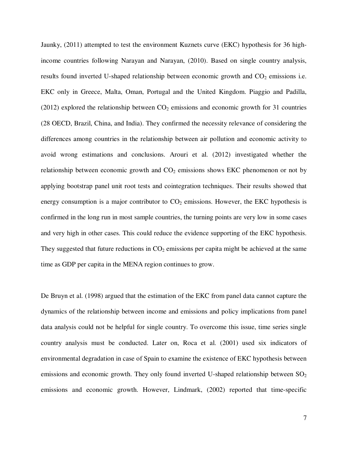Jaunky, (2011) attempted to test the environment Kuznets curve (EKC) hypothesis for 36 highincome countries following Narayan and Narayan, (2010). Based on single country analysis, results found inverted U-shaped relationship between economic growth and  $CO<sub>2</sub>$  emissions i.e. EKC only in Greece, Malta, Oman, Portugal and the United Kingdom. Piaggio and Padilla, (2012) explored the relationship between  $CO<sub>2</sub>$  emissions and economic growth for 31 countries (28 OECD, Brazil, China, and India). They confirmed the necessity relevance of considering the differences among countries in the relationship between air pollution and economic activity to avoid wrong estimations and conclusions. Arouri et al. (2012) investigated whether the relationship between economic growth and  $CO<sub>2</sub>$  emissions shows EKC phenomenon or not by applying bootstrap panel unit root tests and cointegration techniques. Their results showed that energy consumption is a major contributor to  $CO<sub>2</sub>$  emissions. However, the EKC hypothesis is confirmed in the long run in most sample countries, the turning points are very low in some cases and very high in other cases. This could reduce the evidence supporting of the EKC hypothesis. They suggested that future reductions in  $CO<sub>2</sub>$  emissions per capita might be achieved at the same time as GDP per capita in the MENA region continues to grow.

De Bruyn et al. (1998) argued that the estimation of the EKC from panel data cannot capture the dynamics of the relationship between income and emissions and policy implications from panel data analysis could not be helpful for single country. To overcome this issue, time series single country analysis must be conducted. Later on, Roca et al. (2001) used six indicators of environmental degradation in case of Spain to examine the existence of EKC hypothesis between emissions and economic growth. They only found inverted U-shaped relationship between  $SO<sub>2</sub>$ emissions and economic growth. However, Lindmark, (2002) reported that time-specific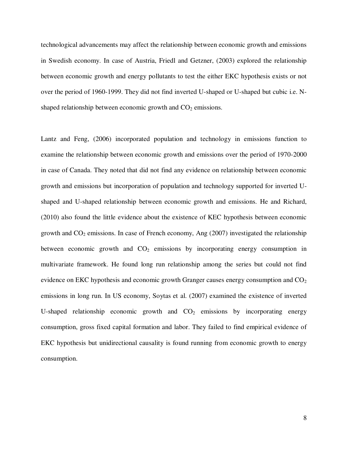technological advancements may affect the relationship between economic growth and emissions in Swedish economy. In case of Austria, Friedl and Getzner, (2003) explored the relationship between economic growth and energy pollutants to test the either EKC hypothesis exists or not over the period of 1960-1999. They did not find inverted U-shaped or U-shaped but cubic i.e. Nshaped relationship between economic growth and  $CO<sub>2</sub>$  emissions.

Lantz and Feng, (2006) incorporated population and technology in emissions function to examine the relationship between economic growth and emissions over the period of 1970-2000 in case of Canada. They noted that did not find any evidence on relationship between economic growth and emissions but incorporation of population and technology supported for inverted Ushaped and U-shaped relationship between economic growth and emissions. He and Richard, (2010) also found the little evidence about the existence of KEC hypothesis between economic growth and  $CO<sub>2</sub>$  emissions. In case of French economy, Ang (2007) investigated the relationship between economic growth and  $CO<sub>2</sub>$  emissions by incorporating energy consumption in multivariate framework. He found long run relationship among the series but could not find evidence on EKC hypothesis and economic growth Granger causes energy consumption and  $CO<sub>2</sub>$ emissions in long run. In US economy, Soytas et al. (2007) examined the existence of inverted U-shaped relationship economic growth and  $CO<sub>2</sub>$  emissions by incorporating energy consumption, gross fixed capital formation and labor. They failed to find empirical evidence of EKC hypothesis but unidirectional causality is found running from economic growth to energy consumption.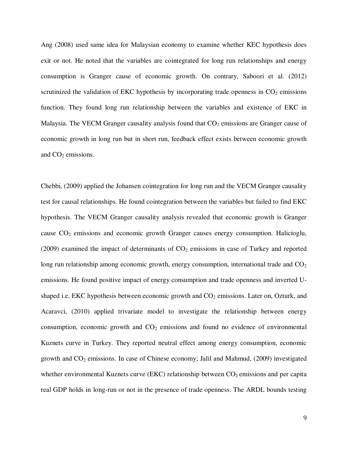Ang (2008) used same idea for Malaysian economy to examine whether KEC hypothesis does exit or not. He noted that the variables are cointegrated for long run relationships and energy consumption is Granger cause of economic growth. On contrary, Saboori et al. (2012) scrutinized the validation of EKC hypothesis by incorporating trade openness in  $CO<sub>2</sub>$  emissions function. They found long run relationship between the variables and existence of EKC in Malaysia. The VECM Granger causality analysis found that  $CO<sub>2</sub>$  emissions are Granger cause of economic growth in long run but in short run, feedback effect exists between economic growth and  $CO<sub>2</sub>$  emissions.

Chebbi, (2009) applied the Johansen cointegration for long run and the VECM Granger causality test for causal relationships. He found cointegration between the variables but failed to find EKC hypothesis. The VECM Granger causality analysis revealed that economic growth is Granger cause  $CO<sub>2</sub>$  emissions and economic growth Granger causes energy consumption. Halicioglu, (2009) examined the impact of determinants of  $CO<sub>2</sub>$  emissions in case of Turkey and reported long run relationship among economic growth, energy consumption, international trade and  $CO<sub>2</sub>$ emissions. He found positive impact of energy consumption and trade openness and inverted Ushaped i.e. EKC hypothesis between economic growth and  $CO<sub>2</sub>$  emissions. Later on, Ozturk, and Acaravci, (2010) applied trivariate model to investigate the relationship between energy consumption, economic growth and  $CO<sub>2</sub>$  emissions and found no evidence of environmental Kuznets curve in Turkey. They reported neutral effect among energy consumption, economic growth and  $CO<sub>2</sub>$  emissions. In case of Chinese economy; Jalil and Mahmud, (2009) investigated whether environmental Kuznets curve (EKC) relationship between  $CO<sub>2</sub>$  emissions and per capita real GDP holds in long-run or not in the presence of trade openness. The ARDL bounds testing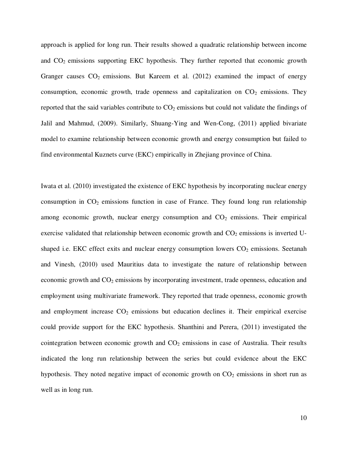approach is applied for long run. Their results showed a quadratic relationship between income and  $CO<sub>2</sub>$  emissions supporting EKC hypothesis. They further reported that economic growth Granger causes  $CO<sub>2</sub>$  emissions. But Kareem et al. (2012) examined the impact of energy consumption, economic growth, trade openness and capitalization on  $CO<sub>2</sub>$  emissions. They reported that the said variables contribute to  $CO<sub>2</sub>$  emissions but could not validate the findings of Jalil and Mahmud, (2009). Similarly, Shuang-Ying and Wen-Cong, (2011) applied bivariate model to examine relationship between economic growth and energy consumption but failed to find environmental Kuznets curve (EKC) empirically in Zhejiang province of China.

Iwata et al. (2010) investigated the existence of EKC hypothesis by incorporating nuclear energy consumption in  $CO<sub>2</sub>$  emissions function in case of France. They found long run relationship among economic growth, nuclear energy consumption and  $CO<sub>2</sub>$  emissions. Their empirical exercise validated that relationship between economic growth and  $CO<sub>2</sub>$  emissions is inverted Ushaped i.e. EKC effect exits and nuclear energy consumption lowers  $CO<sub>2</sub>$  emissions. Seetanah and Vinesh, (2010) used Mauritius data to investigate the nature of relationship between economic growth and  $CO<sub>2</sub>$  emissions by incorporating investment, trade openness, education and employment using multivariate framework. They reported that trade openness, economic growth and employment increase  $CO<sub>2</sub>$  emissions but education declines it. Their empirical exercise could provide support for the EKC hypothesis. Shanthini and Perera, (2011) investigated the cointegration between economic growth and  $CO<sub>2</sub>$  emissions in case of Australia. Their results indicated the long run relationship between the series but could evidence about the EKC hypothesis. They noted negative impact of economic growth on  $CO<sub>2</sub>$  emissions in short run as well as in long run.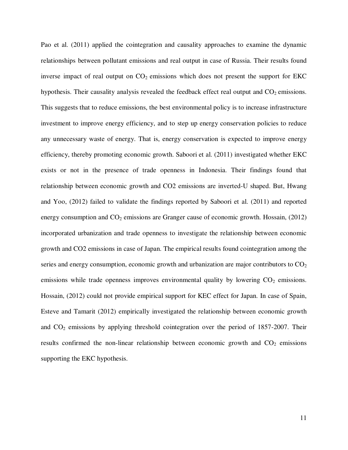Pao et al. (2011) applied the cointegration and causality approaches to examine the dynamic relationships between pollutant emissions and real output in case of Russia. Their results found inverse impact of real output on  $CO<sub>2</sub>$  emissions which does not present the support for EKC hypothesis. Their causality analysis revealed the feedback effect real output and  $CO<sub>2</sub>$  emissions. This suggests that to reduce emissions, the best environmental policy is to increase infrastructure investment to improve energy efficiency, and to step up energy conservation policies to reduce any unnecessary waste of energy. That is, energy conservation is expected to improve energy efficiency, thereby promoting economic growth. Saboori et al. (2011) investigated whether EKC exists or not in the presence of trade openness in Indonesia. Their findings found that relationship between economic growth and CO2 emissions are inverted-U shaped. But, Hwang and Yoo, (2012) failed to validate the findings reported by Saboori et al. (2011) and reported energy consumption and  $CO<sub>2</sub>$  emissions are Granger cause of economic growth. Hossain, (2012) incorporated urbanization and trade openness to investigate the relationship between economic growth and CO2 emissions in case of Japan. The empirical results found cointegration among the series and energy consumption, economic growth and urbanization are major contributors to  $CO<sub>2</sub>$ emissions while trade openness improves environmental quality by lowering  $CO<sub>2</sub>$  emissions. Hossain, (2012) could not provide empirical support for KEC effect for Japan. In case of Spain, Esteve and Tamarit (2012) empirically investigated the relationship between economic growth and  $CO<sub>2</sub>$  emissions by applying threshold cointegration over the period of 1857-2007. Their results confirmed the non-linear relationship between economic growth and  $CO<sub>2</sub>$  emissions supporting the EKC hypothesis.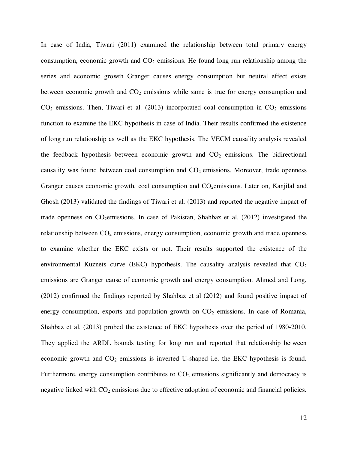In case of India, Tiwari (2011) examined the relationship between total primary energy consumption, economic growth and  $CO<sub>2</sub>$  emissions. He found long run relationship among the series and economic growth Granger causes energy consumption but neutral effect exists between economic growth and  $CO<sub>2</sub>$  emissions while same is true for energy consumption and  $CO<sub>2</sub>$  emissions. Then, Tiwari et al. (2013) incorporated coal consumption in  $CO<sub>2</sub>$  emissions function to examine the EKC hypothesis in case of India. Their results confirmed the existence of long run relationship as well as the EKC hypothesis. The VECM causality analysis revealed the feedback hypothesis between economic growth and  $CO<sub>2</sub>$  emissions. The bidirectional causality was found between coal consumption and  $CO<sub>2</sub>$  emissions. Moreover, trade openness Granger causes economic growth, coal consumption and CO<sub>2</sub>emissions. Later on, Kanjilal and Ghosh (2013) validated the findings of Tiwari et al. (2013) and reported the negative impact of trade openness on  $CO<sub>2</sub>$ emissions. In case of Pakistan, Shahbaz et al. (2012) investigated the relationship between  $CO<sub>2</sub>$  emissions, energy consumption, economic growth and trade openness to examine whether the EKC exists or not. Their results supported the existence of the environmental Kuznets curve (EKC) hypothesis. The causality analysis revealed that  $CO<sub>2</sub>$ emissions are Granger cause of economic growth and energy consumption. Ahmed and Long, (2012) confirmed the findings reported by Shahbaz et al (2012) and found positive impact of energy consumption, exports and population growth on  $CO<sub>2</sub>$  emissions. In case of Romania, Shahbaz et al. (2013) probed the existence of EKC hypothesis over the period of 1980-2010. They applied the ARDL bounds testing for long run and reported that relationship between economic growth and  $CO<sub>2</sub>$  emissions is inverted U-shaped i.e. the EKC hypothesis is found. Furthermore, energy consumption contributes to  $CO<sub>2</sub>$  emissions significantly and democracy is negative linked with  $CO<sub>2</sub>$  emissions due to effective adoption of economic and financial policies.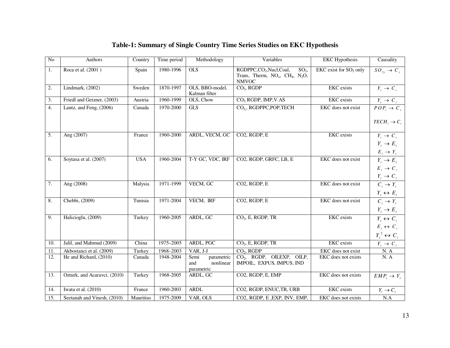| $\rm No$         | Authors                      | Country    | Time period   | Methodology                                          | Variables                                                                                                                  | <b>EKC</b> Hypothesis              | Causality                            |
|------------------|------------------------------|------------|---------------|------------------------------------------------------|----------------------------------------------------------------------------------------------------------------------------|------------------------------------|--------------------------------------|
| 1.               | Roca et al. (2001)           | Spain      | 1980-1996     | <b>OLS</b>                                           | RGDPPC,CO <sub>2</sub> ,Nucl,Coal,<br>SO <sub>2</sub><br>Trans, Therm, $NO_x$ , CH <sub>4</sub> , $N_2O$ ,<br><b>NMVOC</b> | EKC exist for SO <sub>2</sub> only | $SO_{2t} \rightarrow C_t$            |
| 2.               | Lindmark, (2002)             | Sweden     | 1870-1997     | OLS, BBO-model,<br>Kalman filter                     | $CO2$ , RGDP                                                                                                               | <b>EKC</b> exists                  | $Y_t \rightarrow C_t$                |
| 3.               | Friedl and Getzner, (2003)   | Austria    | 1960-1999     | OLS, Chow                                            | CO <sub>2</sub> RGDP, IMP, V.AS                                                                                            | <b>EKC</b> exists                  | $\overline{Y}_t \rightarrow C_t$     |
| $\overline{4}$ . | Lantz, and Feng, (2006)      | Canada     | 1970-2000     | GLS                                                  | CO <sub>2</sub> , RGDPPC, POP, TECH                                                                                        | EKC does not exist                 | $POP_{t} \rightarrow C_{t}$          |
|                  |                              |            |               |                                                      |                                                                                                                            |                                    | $TECH_{\iota} \rightarrow C_{\iota}$ |
| 5.               | Ang (2007)                   | France     | 1960-2000     | ARDL, VECM, GC                                       | CO2, RGDP, E                                                                                                               | EKC exists                         | $Y_t \rightarrow C_t$                |
|                  |                              |            |               |                                                      |                                                                                                                            |                                    | $Y_t \rightarrow E_t$                |
|                  |                              |            |               |                                                      |                                                                                                                            |                                    | $E_{t}\rightarrow Y_{t}$             |
| 6.               | Soytasa et al. (2007)        | <b>USA</b> | 1960-2004     | T-Y GC, VDC, IRF                                     | CO2, RGDP, GRFC, LB, E                                                                                                     | EKC does not exist                 | $Y_t \rightarrow E_t$                |
|                  |                              |            |               |                                                      |                                                                                                                            |                                    | $E_t \rightarrow C_t$                |
|                  |                              |            |               |                                                      |                                                                                                                            |                                    | $Y_t \rightarrow C_t$                |
| 7.               | Ang (2008)                   | Malysia    | 1971-1999     | VECM, GC                                             | CO <sub>2</sub> , RGDP, E                                                                                                  | EKC does not exist                 | $C_i \rightarrow Y_i$                |
|                  |                              |            |               |                                                      |                                                                                                                            |                                    | $Y_t \leftrightarrow E_t$            |
| 8.               | Chebbi, (2009)               | Tunisia    | 1971-2004     | VECM, IRF                                            | CO2, RGDP, E                                                                                                               | EKC does not exist                 | $C_i \rightarrow Y_i$                |
|                  |                              |            |               |                                                      |                                                                                                                            |                                    | $Y_t \rightarrow E_t$                |
| 9.               | Halicioglu, (2009)           | Turkey     | 1960-2005     | ARDL, GC                                             | $CO2$ , E, RGDP, TR                                                                                                        | <b>EKC</b> exists                  | $Y_t \leftrightarrow C_t$            |
|                  |                              |            |               |                                                      |                                                                                                                            |                                    | $E_t \leftrightarrow C_t$            |
|                  |                              |            |               |                                                      |                                                                                                                            |                                    | $Y_t^2 \leftrightarrow C_t$          |
| 10.              | Jalil, and Mahmud (2009)     | China      | 1975-2005     | ARDL, PGC                                            | $CO2$ , E, RGDP, TR                                                                                                        | <b>EKC</b> exists                  | $Y_t \rightarrow C_t$                |
| 11.              | Akbostanci et al. (2009)     | Turkey     | $1968 - 2003$ | VAR, J-J                                             | $CO2$ , RGDP                                                                                                               | EKC does not exist                 | $\rm N.$ A                           |
| 12.              | He and Richard, (2010)       | Canada     | 1948-2004     | parametric<br>Semi<br>and<br>nonlinear<br>parametric | CO <sub>2</sub> , RGDP, OILEXP, OILP,<br>IMPOIL, EXPUS, IMPUS, IND                                                         | EKC does not exists                | N. A                                 |
| 13.              | Ozturk, and Acaravci, (2010) | Turkey     | 1968-2005     | ARDL, GC                                             | CO2, RGDP, E, EMP                                                                                                          | EKC does not exists                | $EMP, \rightarrow Y,$                |
| 14.              | Iwata et al. (2010)          | France     | 1960-2003     | <b>ARDL</b>                                          | CO2, RGDP, ENUC, TR, URB                                                                                                   | <b>EKC</b> exists                  | $Y_t \to C_t$                        |
| 15.              | Seetanah and Vinesh, (2010)  | Mauritius  | 1975-2009     | VAR, OLS                                             | CO2, RGDP, E , EXP, INV, EMP,                                                                                              | EKC does not exists                | N.A                                  |

## **Table-1: Summary of Single Country Time Series Studies on EKC Hypothesis**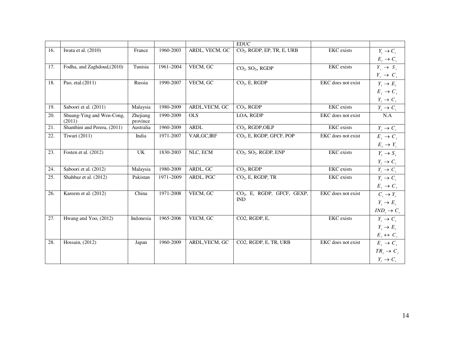|     |                                     |                      |           |                | <b>EDUC</b>                                   |                    |                            |
|-----|-------------------------------------|----------------------|-----------|----------------|-----------------------------------------------|--------------------|----------------------------|
| 16. | Iwata et al. (2010)                 | France               | 1960-2003 | ARDL, VECM, GC | CO <sub>2</sub> , RGDP, EP, TR, E, URB        | <b>EKC</b> exists  | $Y_t \rightarrow C_t$      |
|     |                                     |                      |           |                |                                               |                    | $E_t \rightarrow C_t$      |
| 17. | Fodha, and Zaghdoud, (2010)         | Tunisia              | 1961-2004 | VECM, GC       | $CO2$ , $SO2$ , RGDP                          | <b>EKC</b> exists  | $Y_t \rightarrow S_t$      |
|     |                                     |                      |           |                |                                               |                    | $Y_t \rightarrow C_t$      |
| 18. | Pao, etal.(2011)                    | Russia               | 1990-2007 | VECM, GC       | $CO2$ , E, RGDP                               | EKC does not exist | $Y_t \rightarrow E_t$      |
|     |                                     |                      |           |                |                                               |                    | $E_t \rightarrow C_t$      |
|     |                                     |                      |           |                |                                               |                    | $Y_t \rightarrow C_t$      |
| 19. | Saboori et al. (2011)               | Malaysia             | 1980-2009 | ARDL, VECM, GC | $CO2$ , RGDP                                  | <b>EKC</b> exists  | $Y_t \rightarrow C_t$      |
| 20. | Shuang-Ying and Wen-Cong,<br>(2011) | Zhejiang<br>province | 1990-2009 | <b>OLS</b>     | LOA, RGDP                                     | EKC does not exist | N.A                        |
| 21. | Shanthini and Perera, (2011)        | Australia            | 1960-2009 | <b>ARDL</b>    | CO <sub>2</sub> , RGDP, OILP                  | <b>EKC</b> exists  | $Y_t \rightarrow C_t$      |
| 22. | Tiwari (2011)                       | India                | 1971-2007 | VAR, GC, IRF   | CO <sub>2</sub> , E, RGDP, GFCF, POP          | EKC does not exist | $E_t \rightarrow C_t$      |
|     |                                     |                      |           |                |                                               |                    | $E_t \rightarrow Y_t$      |
| 23. | Fosten et al. (2012)                | UK                   | 1830-2003 | NLC, ECM       | CO <sub>2</sub> , SO <sub>2</sub> , RGDP, ENP | <b>EKC</b> exists  | $Y_t \to S_t$              |
|     |                                     |                      |           |                |                                               |                    | $Y_{\iota} \to C_{\iota}$  |
| 24. | Saboori et al. (2012)               | Malaysia             | 1980-2009 | ARDL, GC       | $CO2$ , RGDP                                  | <b>EKC</b> exists  | $Y_t \rightarrow C_t$      |
| 25. | Shahbaz et al. (2012)               | Pakistan             | 1971-2009 | ARDL, PGC      | $CO2$ , E, RGDP, TR                           | EKC exists         | $Y_t \to C_t$              |
|     |                                     |                      |           |                |                                               |                    | $E_t \rightarrow C_t$      |
| 26. | Kareem et al. (2012)                | China                | 1971-2008 | VECM, GC       | CO <sub>2</sub> , E, RGDP, GFCF, GEXP,        | EKC does not exist | $C_i \rightarrow Y_i$      |
|     |                                     |                      |           |                | <b>IND</b>                                    |                    | $Y_t \to E_t$              |
|     |                                     |                      |           |                |                                               |                    | $IND_{t}\rightarrow C_{t}$ |
| 27. | Hwang and Yoo, (2012)               | Indonesia            | 1965-2006 | VECM, GC       | CO2, RGDP, E,                                 | <b>EKC</b> exists  | $Y_t \to C_t$              |
|     |                                     |                      |           |                |                                               |                    | $Y_t \to E_t$              |
|     |                                     |                      |           |                |                                               |                    | $E_t \leftrightarrow C_t$  |
| 28. | Hossain, (2012)                     | Japan                | 1960-2009 | ARDL, VECM, GC | CO2, RGDP, E, TR, URB                         | EKC does not exist | $E_t \rightarrow C_t$      |
|     |                                     |                      |           |                |                                               |                    | $TR_i \rightarrow C_i$     |
|     |                                     |                      |           |                |                                               |                    | $Y_t \rightarrow C_t$      |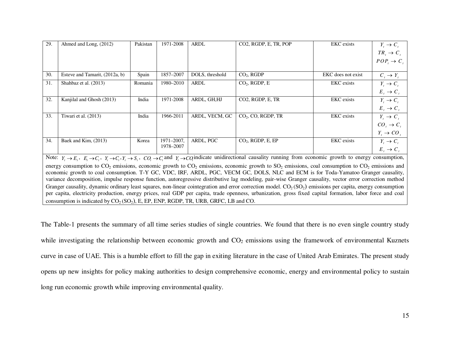| 29.                                                                                                                                                                                           | Ahmed and Long, (2012)                                                                                                                                    | Pakistan | 1971-2008  | <b>ARDL</b>     | CO <sub>2</sub> , RGDP, E, TR, POP | <b>EKC</b> exists  | $Y_t \to C_t$              |  |  |  |
|-----------------------------------------------------------------------------------------------------------------------------------------------------------------------------------------------|-----------------------------------------------------------------------------------------------------------------------------------------------------------|----------|------------|-----------------|------------------------------------|--------------------|----------------------------|--|--|--|
|                                                                                                                                                                                               |                                                                                                                                                           |          |            |                 |                                    |                    | $TR_{i} \rightarrow C_{i}$ |  |  |  |
|                                                                                                                                                                                               |                                                                                                                                                           |          |            |                 |                                    |                    | $POP, \rightarrow C,$      |  |  |  |
|                                                                                                                                                                                               |                                                                                                                                                           |          |            |                 |                                    |                    |                            |  |  |  |
| 30.                                                                                                                                                                                           | Esteve and Tamarit, (2012a, b)                                                                                                                            | Spain    | 1857-2007  | DOLS, threshold | $CO2$ , RGDP                       | EKC does not exist | $C_i \rightarrow Y_i$      |  |  |  |
| 31.                                                                                                                                                                                           | Shahbaz et al. (2013)                                                                                                                                     | Romania  | 1980-2010  | <b>ARDL</b>     | $CO2$ , RGDP, E                    | <b>EKC</b> exists  | $Y_t \rightarrow C_t$      |  |  |  |
|                                                                                                                                                                                               |                                                                                                                                                           |          |            |                 |                                    |                    | $E_t \rightarrow C_t$      |  |  |  |
| 32.                                                                                                                                                                                           | Kanjilal and Ghosh (2013)                                                                                                                                 | India    | 1971-2008  | ARDL, GH, HJ    | CO2, RGDP, E, TR                   | <b>EKC</b> exists  | $Y_t \to C_t$              |  |  |  |
|                                                                                                                                                                                               |                                                                                                                                                           |          |            |                 |                                    |                    | $E_t \rightarrow C_t$      |  |  |  |
| 33.                                                                                                                                                                                           | Tiwari et al. (2013)                                                                                                                                      | India    | 1966-2011  | ARDL, VECM, GC  | $CO2$ , CO, RGDP, TR               | <b>EKC</b> exists  | $Y_t \rightarrow C_t$      |  |  |  |
|                                                                                                                                                                                               |                                                                                                                                                           |          |            |                 |                                    |                    | $CO, \rightarrow C,$       |  |  |  |
|                                                                                                                                                                                               |                                                                                                                                                           |          |            |                 |                                    |                    | $Y_t \rightarrow CO_t$     |  |  |  |
| 34.                                                                                                                                                                                           | Baek and Kim, (2013)                                                                                                                                      | Korea    | 1971-2007, | ARDL, PGC       | $CO2$ , RGDP, E, EP                | <b>EKC</b> exists  | $Y_t \rightarrow C_t$      |  |  |  |
|                                                                                                                                                                                               |                                                                                                                                                           |          | 1978-2007  |                 |                                    |                    | $E, \rightarrow C,$        |  |  |  |
| Note: $Y_t \to E_t$ , $E_t \to C_t$ , $Y_t \to C_t$ , $Y_t \to S_t$ , $CO_t \to C_t$ and $Y_t \to CO_t$ indicate unidirectional causality running from economic growth to energy consumption, |                                                                                                                                                           |          |            |                 |                                    |                    |                            |  |  |  |
| energy consumption to $CO_2$ emissions, economic growth to $CO_2$ emissions, economic growth to $SO_2$ emissions, coal consumption to $CO_2$ emissions and                                    |                                                                                                                                                           |          |            |                 |                                    |                    |                            |  |  |  |
| economic growth to coal consumption. T-Y GC, VDC, IRF, ARDL, PGC, VECM GC, DOLS, NLC and ECM is for Toda-Yamatoo Granger causality,                                                           |                                                                                                                                                           |          |            |                 |                                    |                    |                            |  |  |  |
| variance decomposition, impulse response function, autoregressive distributive lag modeling, pair-wise Granger causality, vector error correction method                                      |                                                                                                                                                           |          |            |                 |                                    |                    |                            |  |  |  |
| Granger causality, dynamic ordinary least squares, non-linear cointegration and error correction model. $CO_2(SO_2)$ emissions per capita, energy consumption                                 |                                                                                                                                                           |          |            |                 |                                    |                    |                            |  |  |  |
|                                                                                                                                                                                               | per capita, electricity production, energy prices, real GDP per capita, trade openness, urbanization, gross fixed capital formation, labor force and coal |          |            |                 |                                    |                    |                            |  |  |  |
| consumption is indicated by $CO_2(SO_2)$ , E, EP, ENP, RGDP, TR, URB, GRFC, LB and CO.                                                                                                        |                                                                                                                                                           |          |            |                 |                                    |                    |                            |  |  |  |

The Table-1 presents the summary of all time series studies of single countries. We found that there is no even single country study while investigating the relationship between economic growth and  $CO<sub>2</sub>$  emissions using the framework of environmental Kuznets curve in case of UAE. This is a humble effort to fill the gap in exiting literature in the case of United Arab Emirates. The present study opens up new insights for policy making authorities to design comprehensive economic, energy and environmental policy to sustain long run economic growth while improving environmental quality.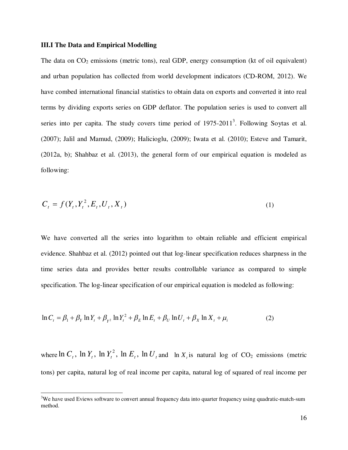#### **III.I The Data and Empirical Modelling**

-

The data on  $CO<sub>2</sub>$  emissions (metric tons), real GDP, energy consumption (kt of oil equivalent) and urban population has collected from world development indicators (CD-ROM, 2012). We have combed international financial statistics to obtain data on exports and converted it into real terms by dividing exports series on GDP deflator. The population series is used to convert all series into per capita. The study covers time period of  $1975{\text -}2011^3$ . Following Soytas et al. (2007); Jalil and Mamud, (2009); Halicioglu, (2009); Iwata et al. (2010); Esteve and Tamarit, (2012a, b); Shahbaz et al. (2013), the general form of our empirical equation is modeled as following:

$$
C_t = f(Y_t, Y_t^2, E_t, U_t, X_t)
$$
\n(1)

We have converted all the series into logarithm to obtain reliable and efficient empirical evidence. Shahbaz et al. (2012) pointed out that log-linear specification reduces sharpness in the time series data and provides better results controllable variance as compared to simple specification. The log-linear specification of our empirical equation is modeled as following:

$$
\ln C_t = \beta_1 + \beta_Y \ln Y_t + \beta_{Y^2} \ln Y_t^2 + \beta_E \ln E_t + \beta_U \ln U_t + \beta_X \ln X_t + \mu_i
$$
 (2)

where  $\ln C_t$ ,  $\ln Y_t$ ,  $\ln Y_t^2$ ,  $\ln E_t$ ,  $\ln U_t$  and  $\ln X_t$  is natural log of CO<sub>2</sub> emissions (metric tons) per capita, natural log of real income per capita, natural log of squared of real income per

 $3$ We have used Eviews software to convert annual frequency data into quarter frequency using quadratic-match-sum method.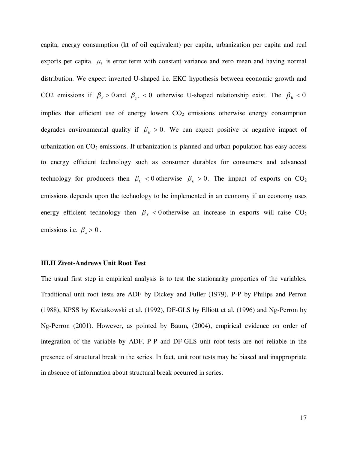capita, energy consumption (kt of oil equivalent) per capita, urbanization per capita and real exports per capita.  $\mu_i$  is error term with constant variance and zero mean and having normal distribution. We expect inverted U-shaped i.e. EKC hypothesis between economic growth and CO2 emissions if  $\beta_Y > 0$  and  $\beta_{Y^2} < 0$  otherwise U-shaped relationship exist. The  $\beta_E < 0$ implies that efficient use of energy lowers  $CO<sub>2</sub>$  emissions otherwise energy consumption degrades environmental quality if  $\beta_E > 0$ . We can expect positive or negative impact of urbanization on  $CO<sub>2</sub>$  emissions. If urbanization is planned and urban population has easy access to energy efficient technology such as consumer durables for consumers and advanced technology for producers then  $\beta_U < 0$  otherwise  $\beta_E > 0$ . The impact of exports on CO<sub>2</sub> emissions depends upon the technology to be implemented in an economy if an economy uses energy efficient technology then  $\beta_X < 0$  otherwise an increase in exports will raise  $CO_2$ emissions i.e.  $\beta_x > 0$ .

#### **III.II Zivot-Andrews Unit Root Test**

The usual first step in empirical analysis is to test the stationarity properties of the variables. Traditional unit root tests are ADF by Dickey and Fuller (1979), P-P by Philips and Perron (1988), KPSS by Kwiatkowski et al. (1992), DF-GLS by Elliott et al. (1996) and Ng-Perron by Ng-Perron (2001). However, as pointed by Baum, (2004), empirical evidence on order of integration of the variable by ADF, P-P and DF-GLS unit root tests are not reliable in the presence of structural break in the series. In fact, unit root tests may be biased and inappropriate in absence of information about structural break occurred in series.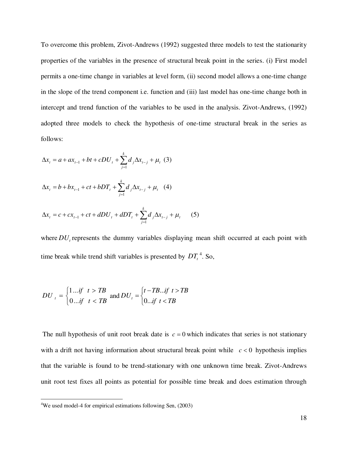To overcome this problem, Zivot-Andrews (1992) suggested three models to test the stationarity properties of the variables in the presence of structural break point in the series. (i) First model permits a one-time change in variables at level form, (ii) second model allows a one-time change in the slope of the trend component i.e. function and (iii) last model has one-time change both in intercept and trend function of the variables to be used in the analysis. Zivot-Andrews, (1992) adopted three models to check the hypothesis of one-time structural break in the series as follows:

$$
\Delta x_{t} = a + ax_{t-1} + bt + cDU_{t} + \sum_{j=1}^{k} d_{j} \Delta x_{t-j} + \mu_{t} (3)
$$
  

$$
\Delta x_{t} = b + bx_{t-1} + ct + bDT_{t} + \sum_{j=1}^{k} d_{j} \Delta x_{t-j} + \mu_{t} (4)
$$
  

$$
\Delta x_{t} = c + cx_{t-1} + ct + dDU_{t} + dDT_{t} + \sum_{j=1}^{k} d_{j} \Delta x_{t-j} + \mu_{t} (5)
$$

where  $DU$ <sub>t</sub> represents the dummy variables displaying mean shift occurred at each point with time break while trend shift variables is presented by  $DT<sub>t</sub><sup>4</sup>$ . So,

$$
DU_{t} = \begin{cases} 1 \dots \text{if} & t > TB \\ 0 \dots \text{if} & t < TB \end{cases} \text{ and } DU_{t} = \begin{cases} t - TB \dots \text{if} & t > TB \\ 0 \dots \text{if} & t < TB \end{cases}
$$

The null hypothesis of unit root break date is  $c = 0$  which indicates that series is not stationary with a drift not having information about structural break point while  $c < 0$  hypothesis implies that the variable is found to be trend-stationary with one unknown time break. Zivot-Andrews unit root test fixes all points as potential for possible time break and does estimation through

-

<sup>&</sup>lt;sup>4</sup>We used model-4 for empirical estimations following Sen, (2003)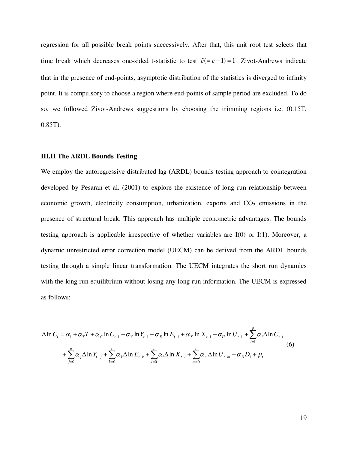regression for all possible break points successively. After that, this unit root test selects that time break which decreases one-sided t-statistic to test  $\hat{c} (= c - 1) = 1$ . Zivot-Andrews indicate that in the presence of end-points, asymptotic distribution of the statistics is diverged to infinity point. It is compulsory to choose a region where end-points of sample period are excluded. To do so, we followed Zivot-Andrews suggestions by choosing the trimming regions i.e. (0.15T, 0.85T).

#### **III.II The ARDL Bounds Testing**

We employ the autoregressive distributed lag (ARDL) bounds testing approach to cointegration developed by Pesaran et al. (2001) to explore the existence of long run relationship between economic growth, electricity consumption, urbanization, exports and  $CO<sub>2</sub>$  emissions in the presence of structural break. This approach has multiple econometric advantages. The bounds testing approach is applicable irrespective of whether variables are I(0) or I(1). Moreover, a dynamic unrestricted error correction model (UECM) can be derived from the ARDL bounds testing through a simple linear transformation. The UECM integrates the short run dynamics with the long run equilibrium without losing any long run information. The UECM is expressed as follows:

$$
\Delta \ln C_{t} = \alpha_{1} + \alpha_{T} T + \alpha_{C} \ln C_{t-1} + \alpha_{Y} \ln Y_{t-1} + \alpha_{E} \ln E_{t-1} + \alpha_{X} \ln X_{t-1} + \alpha_{U} \ln U_{t-1} + \sum_{i=1}^{p} \alpha_{i} \Delta \ln C_{t-i}
$$
\n
$$
+ \sum_{j=0}^{q} \alpha_{j} \Delta \ln Y_{t-j} + \sum_{k=0}^{r} \alpha_{k} \Delta \ln E_{t-k} + \sum_{l=0}^{s} \alpha_{l} \Delta \ln X_{t-l} + \sum_{m=0}^{t} \alpha_{m} \Delta \ln U_{t-m} + \alpha_{D} D_{1} + \mu_{t}
$$
\n(6)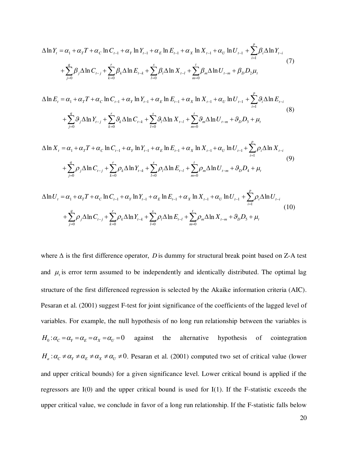$$
\Delta \ln Y_{t} = \alpha_{1} + \alpha_{T} T + \alpha_{C} \ln C_{t-1} + \alpha_{Y} \ln Y_{t-1} + \alpha_{E} \ln E_{t-1} + \alpha_{X} \ln X_{t-1} + \alpha_{U} \ln U_{t-1} + \sum_{i=1}^{p} \beta_{i} \Delta \ln Y_{t-i}
$$
\n
$$
+ \sum_{j=0}^{q} \beta_{j} \Delta \ln C_{t-j} + \sum_{k=0}^{r} \beta_{k} \Delta \ln E_{t-k} + \sum_{l=0}^{s} \beta_{l} \Delta \ln X_{t-l} + \sum_{m=0}^{t} \beta_{m} \Delta \ln U_{t-m} + \beta_{D} D_{2} \mu_{t}
$$
\n(7)

$$
\Delta \ln E_{t} = \alpha_{1} + \alpha_{T} T + \alpha_{C} \ln C_{t-1} + \alpha_{Y} \ln Y_{t-1} + \alpha_{E} \ln E_{t-1} + \alpha_{X} \ln X_{t-1} + \alpha_{U} \ln U_{t-1} + \sum_{i=1}^{p} \mathcal{G}_{i} \Delta \ln E_{t-i}
$$
\n
$$
+ \sum_{j=0}^{q} \mathcal{G}_{j} \Delta \ln Y_{t-j} + \sum_{k=0}^{r} \mathcal{G}_{k} \Delta \ln C_{t-k} + \sum_{l=0}^{s} \mathcal{G}_{l} \Delta \ln X_{t-l} + \sum_{m=0}^{t} \mathcal{G}_{m} \Delta \ln U_{t-m} + \mathcal{G}_{D} D_{3} + \mu_{t}
$$
\n(8)

$$
\Delta \ln X_{t} = \alpha_{1} + \alpha_{T}T + \alpha_{C} \ln C_{t-1} + \alpha_{Y} \ln Y_{t-1} + \alpha_{E} \ln E_{t-1} + \alpha_{X} \ln X_{t-1} + \alpha_{U} \ln U_{t-1} + \sum_{i=1}^{p} \rho_{i} \Delta \ln X_{t-i}
$$
\n
$$
+ \sum_{j=0}^{q} \rho_{j} \Delta \ln C_{t-j} + \sum_{k=0}^{r} \rho_{k} \Delta \ln Y_{t-k} + \sum_{l=0}^{s} \rho_{l} \Delta \ln E_{t-l} + \sum_{m=0}^{t} \rho_{m} \Delta \ln U_{t-m} + \vartheta_{D} D_{4} + \mu_{t}
$$
\n
$$
\Delta \ln U_{t} = \alpha_{1} + \alpha_{T}T + \alpha_{C} \ln C_{t-1} + \alpha_{Y} \ln Y_{t-1} + \alpha_{E} \ln E_{t-1} + \alpha_{X} \ln X_{t-1} + \alpha_{U} \ln U_{t-1} + \sum_{i=1}^{p} \rho_{i} \Delta \ln U_{t-i}
$$
\n
$$
+ \sum_{j=0}^{q} \rho_{j} \Delta \ln C_{t-j} + \sum_{k=0}^{r} \rho_{k} \Delta \ln Y_{t-k} + \sum_{l=0}^{s} \rho_{l} \Delta \ln E_{t-l} + \sum_{m=0}^{t} \rho_{m} \Delta \ln X_{t-m} + \vartheta_{D} D_{5} + \mu_{t}
$$
\n(10)

*l*

0  $k=0$   $l=0$   $m=0$ 

=

*k*

 $=$ 

*j*

=

*m*

where Δ is the first difference operator, *D* is dummy for structural break point based on Z-A test and  $\mu$ <sub>i</sub> is error term assumed to be independently and identically distributed. The optimal lag structure of the first differenced regression is selected by the Akaike information criteria (AIC). Pesaran et al. (2001) suggest F-test for joint significance of the coefficients of the lagged level of variables. For example, the null hypothesis of no long run relationship between the variables is  $H_0: \alpha_C = \alpha_Y = \alpha_E = \alpha_X = \alpha_U = 0$  against the alternative hypothesis of cointegration  $H_a: \alpha_c \neq \alpha_v \neq \alpha_k \neq \alpha_v \neq 0$ . Pesaran et al. (2001) computed two set of critical value (lower and upper critical bounds) for a given significance level. Lower critical bound is applied if the regressors are I(0) and the upper critical bound is used for I(1). If the F-statistic exceeds the upper critical value, we conclude in favor of a long run relationship. If the F-statistic falls below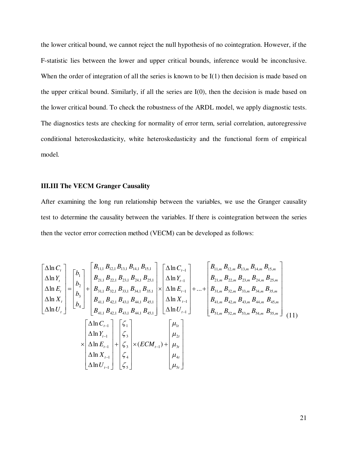the lower critical bound, we cannot reject the null hypothesis of no cointegration. However, if the F-statistic lies between the lower and upper critical bounds, inference would be inconclusive. When the order of integration of all the series is known to be I(1) then decision is made based on the upper critical bound. Similarly, if all the series are I(0), then the decision is made based on the lower critical bound. To check the robustness of the ARDL model, we apply diagnostic tests. The diagnostics tests are checking for normality of error term, serial correlation, autoregressive conditional heteroskedasticity, white heteroskedasticity and the functional form of empirical model.

#### **III.III The VECM Granger Causality**

After examining the long run relationship between the variables, we use the Granger causality test to determine the causality between the variables. If there is cointegration between the series then the vector error correction method (VECM) can be developed as follows:

$$
\begin{bmatrix}\n\Delta \ln C_{t} \\
\Delta \ln Y_{t} \\
\Delta \ln E_{t} \\
\Delta \ln U_{t}\n\end{bmatrix} =\n\begin{bmatrix}\nb_{1} \\
b_{2} \\
b_{3} \\
b_{4} \\
\Delta \ln U_{t}\n\end{bmatrix} +\n\begin{bmatrix}\nB_{11,1} B_{12,1} B_{13,1} B_{14,1} B_{15,1} \\
B_{21,1} B_{22,1} B_{23,1} B_{24,1} B_{25,1} \\
B_{31,1} B_{32,1} B_{33,1} B_{34,1} B_{35,1} \\
B_{41,1} B_{42,1} B_{43,1} B_{44,1} B_{45,1}\n\end{bmatrix}\n\begin{bmatrix}\n\Delta \ln C_{t-1} \\
\Delta \ln Y_{t-1} \\
\Delta \ln Y_{t-1} \\
\Delta \ln Y_{t-1}\n\end{bmatrix} + \n\begin{bmatrix}\nB_{11,m} B_{12,m} B_{13,m} B_{14,m} B_{15,m} \\
B_{21,m} B_{22,m} B_{23,m} B_{24,m} B_{25,m} \\
B_{31,m} B_{32,m} B_{33,m} B_{34,m} B_{35,m} \\
B_{41,1} B_{42,1} B_{43,1} B_{44,1} B_{45,1}\n\end{bmatrix}\n\begin{bmatrix}\n\Delta \ln C_{t-1} \\
\Delta \ln C_{t-1} \\
\Delta \ln U_{t-1}\n\end{bmatrix} + \n\begin{bmatrix}\n\Delta \ln C_{t-1} \\
\Delta \ln C_{t-1} \\
\Delta \ln C_{t-1} \\
\Delta \ln C_{t-1} \\
\Delta \ln C_{t-1}\n\end{bmatrix} + \n\begin{bmatrix}\n\zeta_{1} \\
\zeta_{2} \\
\zeta_{3} \\
\zeta_{4}\n\end{bmatrix}\n\times (ECM_{t-1}) + \n\begin{bmatrix}\n\mu_{1} \\
\mu_{2} \\
\mu_{3} \\
\mu_{4} \\
\mu_{5}\n\end{bmatrix}
$$
\n(11)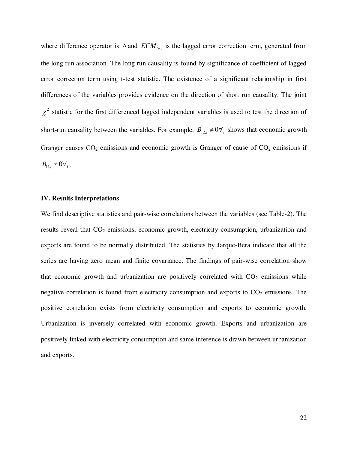where difference operator is  $\Delta$  and  $ECM$ <sub>*t*-1</sub> is the lagged error correction term, generated from the long run association. The long run causality is found by significance of coefficient of lagged error correction term using t-test statistic. The existence of a significant relationship in first differences of the variables provides evidence on the direction of short run causality. The joint  $\chi^2$  statistic for the first differenced lagged independent variables is used to test the direction of short-run causality between the variables. For example,  $B_{12,i} \neq 0 \forall i$  shows that economic growth Granger causes  $CO_2$  emissions and economic growth is Granger of cause of  $CO_2$  emissions if  $B_{11,i} \neq 0 \forall_{i}$ .

#### **IV. Results Interpretations**

We find descriptive statistics and pair-wise correlations between the variables (see Table-2). The results reveal that  $CO<sub>2</sub>$  emissions, economic growth, electricity consumption, urbanization and exports are found to be normally distributed. The statistics by Jarque-Bera indicate that all the series are having zero mean and finite covariance. The findings of pair-wise correlation show that economic growth and urbanization are positively correlated with  $CO<sub>2</sub>$  emissions while negative correlation is found from electricity consumption and exports to  $CO<sub>2</sub>$  emissions. The positive correlation exists from electricity consumption and exports to economic growth. Urbanization is inversely correlated with economic growth. Exports and urbanization are positively linked with electricity consumption and same inference is drawn between urbanization and exports.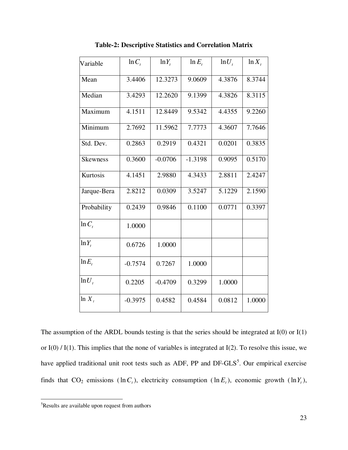| Variable        | $\ln C_t$ | $ln Y_t$  | $\ln E_t$ | $ln U_t$ | $\ln X_t$ |
|-----------------|-----------|-----------|-----------|----------|-----------|
| Mean            | 3.4406    | 12.3273   | 9.0609    | 4.3876   | 8.3744    |
| Median          | 3.4293    | 12.2620   | 9.1399    | 4.3826   | 8.3115    |
| Maximum         | 4.1511    | 12.8449   | 9.5342    | 4.4355   | 9.2260    |
| Minimum         | 2.7692    | 11.5962   | 7.7773    | 4.3607   | 7.7646    |
| Std. Dev.       | 0.2863    | 0.2919    | 0.4321    | 0.0201   | 0.3835    |
| <b>Skewness</b> | 0.3600    | $-0.0706$ | $-1.3198$ | 0.9095   | 0.5170    |
| Kurtosis        | 4.1451    | 2.9880    | 4.3433    | 2.8811   | 2.4247    |
| Jarque-Bera     | 2.8212    | 0.0309    | 3.5247    | 5.1229   | 2.1590    |
| Probability     | 0.2439    | 0.9846    | 0.1100    | 0.0771   | 0.3397    |
| $\ln C$         | 1.0000    |           |           |          |           |
| $ln Y_t$        | 0.6726    | 1.0000    |           |          |           |
| $\ln E$ ,       | $-0.7574$ | 0.7267    | 1.0000    |          |           |
| $ln U_t$        | 0.2205    | $-0.4709$ | 0.3299    | 1.0000   |           |
| $ln X_t$        | $-0.3975$ | 0.4582    | 0.4584    | 0.0812   | 1.0000    |

**Table-2: Descriptive Statistics and Correlation Matrix**

The assumption of the ARDL bounds testing is that the series should be integrated at  $I(0)$  or  $I(1)$ or I(0) / I(1). This implies that the none of variables is integrated at I(2). To resolve this issue, we have applied traditional unit root tests such as ADF, PP and  $DF-GLS<sup>5</sup>$ . Our empirical exercise finds that  $CO_2$  emissions  $(\ln C_t)$ , electricity consumption  $(\ln E_t)$ , economic growth  $(\ln Y_t)$ ,

 $\overline{a}$ 

<sup>&</sup>lt;sup>5</sup>Results are available upon request from authors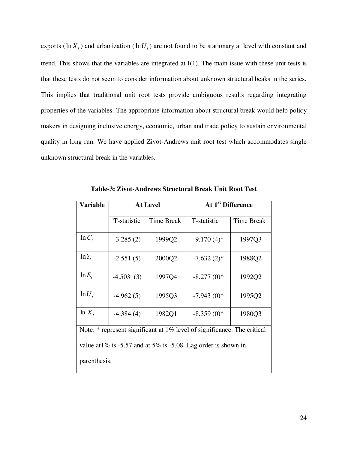exports ( $\ln X_t$ ) and urbanization ( $\ln U_t$ ) are not found to be stationary at level with constant and trend. This shows that the variables are integrated at I(1). The main issue with these unit tests is that these tests do not seem to consider information about unknown structural beaks in the series. This implies that traditional unit root tests provide ambiguous results regarding integrating properties of the variables. The appropriate information about structural break would help policy makers in designing inclusive energy, economic, urban and trade policy to sustain environmental quality in long run. We have applied Zivot-Andrews unit root test which accommodates single unknown structural break in the variables.

| <b>Variable</b>                                                         |             | <b>At Level</b>   | $\overline{At\,1^{st}}$ Difference |                   |  |  |  |  |
|-------------------------------------------------------------------------|-------------|-------------------|------------------------------------|-------------------|--|--|--|--|
|                                                                         | T-statistic | <b>Time Break</b> | T-statistic                        | <b>Time Break</b> |  |  |  |  |
| $\ln C$ ,                                                               | $-3.285(2)$ | 1999Q2            | $-9.170(4)$ *                      | 1997Q3            |  |  |  |  |
| $ln Y_t$                                                                | $-2.551(5)$ | 2000Q2            | $-7.632(2)$ *                      | 1988Q2            |  |  |  |  |
| $\ln E_t$                                                               | $-4.503(3)$ | 1997Q4            | $-8.277(0)$ *                      | 1992Q2            |  |  |  |  |
| $ln U_t$                                                                | $-4.962(5)$ | 1995Q3            | $-7.943(0)*$                       | 1995Q2            |  |  |  |  |
| $\ln X$ ,                                                               | $-4.384(4)$ | 1982Q1            | $-8.359(0)*$                       | 1980Q3            |  |  |  |  |
| Note: * represent significant at 1% level of significance. The critical |             |                   |                                    |                   |  |  |  |  |
| value at $1\%$ is -5.57 and at 5% is -5.08. Lag order is shown in       |             |                   |                                    |                   |  |  |  |  |
| parenthesis.                                                            |             |                   |                                    |                   |  |  |  |  |

**Table-3: Zivot-Andrews Structural Break Unit Root Test**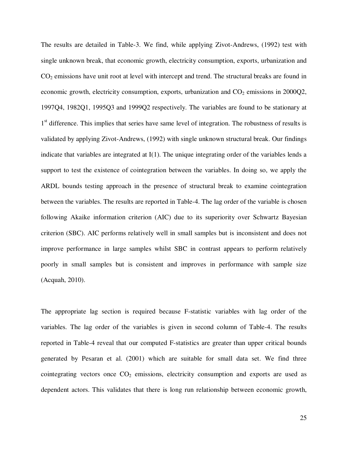The results are detailed in Table-3. We find, while applying Zivot-Andrews, (1992) test with single unknown break, that economic growth, electricity consumption, exports, urbanization and CO<sub>2</sub> emissions have unit root at level with intercept and trend. The structural breaks are found in economic growth, electricity consumption, exports, urbanization and  $CO<sub>2</sub>$  emissions in 2000Q2, 1997Q4, 1982Q1, 1995Q3 and 1999Q2 respectively. The variables are found to be stationary at 1<sup>st</sup> difference. This implies that series have same level of integration. The robustness of results is validated by applying Zivot-Andrews, (1992) with single unknown structural break. Our findings indicate that variables are integrated at I(1). The unique integrating order of the variables lends a support to test the existence of cointegration between the variables. In doing so, we apply the ARDL bounds testing approach in the presence of structural break to examine cointegration between the variables. The results are reported in Table-4. The lag order of the variable is chosen following Akaike information criterion (AIC) due to its superiority over Schwartz Bayesian criterion (SBC). AIC performs relatively well in small samples but is inconsistent and does not improve performance in large samples whilst SBC in contrast appears to perform relatively poorly in small samples but is consistent and improves in performance with sample size (Acquah, 2010).

The appropriate lag section is required because F-statistic variables with lag order of the variables. The lag order of the variables is given in second column of Table-4. The results reported in Table-4 reveal that our computed F-statistics are greater than upper critical bounds generated by Pesaran et al. (2001) which are suitable for small data set. We find three cointegrating vectors once  $CO<sub>2</sub>$  emissions, electricity consumption and exports are used as dependent actors. This validates that there is long run relationship between economic growth,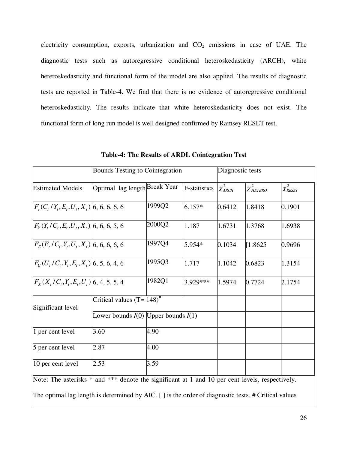electricity consumption, exports, urbanization and  $CO<sub>2</sub>$  emissions in case of UAE. The diagnostic tests such as autoregressive conditional heteroskedasticity (ARCH), white heteroskedasticity and functional form of the model are also applied. The results of diagnostic tests are reported in Table-4. We find that there is no evidence of autoregressive conditional heteroskedasticity. The results indicate that white heteroskedasticity does not exist. The functional form of long run model is well designed confirmed by Ramsey RESET test.

|                                                                                                                                                                                                        | Bounds Testing to Cointegration         |                      | Diagnostic tests |                 |                   |                         |  |
|--------------------------------------------------------------------------------------------------------------------------------------------------------------------------------------------------------|-----------------------------------------|----------------------|------------------|-----------------|-------------------|-------------------------|--|
| <b>Estimated Models</b>                                                                                                                                                                                | Optimal lag length Break Year           | <b>F</b> -statistics |                  | $\chi^2_{ARCH}$ | $\chi^2_{HETERO}$ | $\chi^2_{\tiny{RESET}}$ |  |
| $F_c(C_t/Y_t, E_t, U_t, X_t)$ 6, 6, 6, 6, 6                                                                                                                                                            |                                         | 1999Q2               | $6.157*$         | 0.6412          | 1.8418            | 0.1901                  |  |
| $F_{y}(Y_{t}/C_{t}, E_{t}, U_{t}, X_{t})$ 6, 6, 6, 5, 6                                                                                                                                                | 2000Q2<br>1.187                         |                      |                  | 1.6731          | 1.3768            | 1.6938                  |  |
| $F_{F}(E, /C_{i}, Y_{i}, U_{i}, X_{i})$ 6, 6, 6, 6, 6                                                                                                                                                  |                                         | 1997Q4               | 5.954*           | 0.1034          | 1.8625            | 0.9696                  |  |
| $F_{U}(U_{t}/C_{t},Y_{t},E_{t},X_{t})$ 6, 5, 6, 4, 6                                                                                                                                                   |                                         | 1995Q3               | 1.717            | 1.1042          | 0.6823            | 1.3154                  |  |
| $F_X(X_t/C_t, Y_t, E_t, U_t)$ 6, 4, 5, 5, 4                                                                                                                                                            |                                         | 1982Q1               | 3.929 ***        | 1.5974          | 0.7724            | 2.1754                  |  |
| Significant level                                                                                                                                                                                      | Critical values $(T = 148)^{\#}$        |                      |                  |                 |                   |                         |  |
|                                                                                                                                                                                                        | Lower bounds $I(0)$ Upper bounds $I(1)$ |                      |                  |                 |                   |                         |  |
| 1 per cent level                                                                                                                                                                                       | 3.60                                    | 4.90                 |                  |                 |                   |                         |  |
| 5 per cent level                                                                                                                                                                                       | 2.87                                    | 4.00                 |                  |                 |                   |                         |  |
| 10 per cent level                                                                                                                                                                                      | 2.53                                    | 3.59                 |                  |                 |                   |                         |  |
| Note: The asterisks * and *** denote the significant at 1 and 10 per cent levels, respectively.<br>The optimal lag length is determined by AIC. [] is the order of diagnostic tests. # Critical values |                                         |                      |                  |                 |                   |                         |  |

**Table-4: The Results of ARDL Cointegration Test**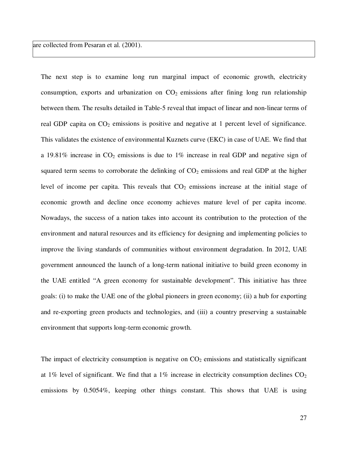are collected from Pesaran et al. (2001).

The next step is to examine long run marginal impact of economic growth, electricity consumption, exports and urbanization on  $CO<sub>2</sub>$  emissions after fining long run relationship between them. The results detailed in Table-5 reveal that impact of linear and non-linear terms of real GDP capita on CO<sub>2</sub> emissions is positive and negative at 1 percent level of significance. This validates the existence of environmental Kuznets curve (EKC) in case of UAE. We find that a 19.81% increase in  $CO<sub>2</sub>$  emissions is due to 1% increase in real GDP and negative sign of squared term seems to corroborate the delinking of  $CO<sub>2</sub>$  emissions and real GDP at the higher level of income per capita. This reveals that  $CO<sub>2</sub>$  emissions increase at the initial stage of economic growth and decline once economy achieves mature level of per capita income. Nowadays, the success of a nation takes into account its contribution to the protection of the environment and natural resources and its efficiency for designing and implementing policies to improve the living standards of communities without environment degradation. In 2012, UAE government announced the launch of a long-term national initiative to build green economy in the UAE entitled "A green economy for sustainable development". This initiative has three goals: (i) to make the UAE one of the global pioneers in green economy; (ii) a hub for exporting and re-exporting green products and technologies, and (iii) a country preserving a sustainable environment that supports long-term economic growth.

The impact of electricity consumption is negative on  $CO<sub>2</sub>$  emissions and statistically significant at 1% level of significant. We find that a 1% increase in electricity consumption declines  $CO<sub>2</sub>$ emissions by 0.5054%, keeping other things constant. This shows that UAE is using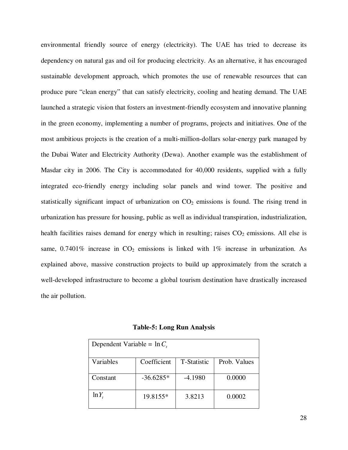environmental friendly source of energy (electricity). The UAE has tried to decrease its dependency on natural gas and oil for producing electricity. As an alternative, it has encouraged sustainable development approach, which promotes the use of renewable resources that can produce pure "clean energy" that can satisfy electricity, cooling and heating demand. The UAE launched a strategic vision that fosters an investment-friendly ecosystem and innovative planning in the green economy, implementing a number of programs, projects and initiatives. One of the most ambitious projects is the creation of a multi-million-dollars solar-energy park managed by the Dubai Water and Electricity Authority (Dewa). Another example was the establishment of Masdar city in 2006. The City is accommodated for 40,000 residents, supplied with a fully integrated eco-friendly energy including solar panels and wind tower. The positive and statistically significant impact of urbanization on  $CO<sub>2</sub>$  emissions is found. The rising trend in urbanization has pressure for housing, public as well as individual transpiration, industrialization, health facilities raises demand for energy which in resulting; raises  $CO<sub>2</sub>$  emissions. All else is same,  $0.7401\%$  increase in CO<sub>2</sub> emissions is linked with  $1\%$  increase in urbanization. As explained above, massive construction projects to build up approximately from the scratch a well-developed infrastructure to become a global tourism destination have drastically increased the air pollution.

**Table-5: Long Run Analysis** 

| Dependent Variable = $\ln C_t$ |             |                     |              |  |  |  |  |  |
|--------------------------------|-------------|---------------------|--------------|--|--|--|--|--|
| Variables                      | Coefficient | <b>T</b> -Statistic | Prob. Values |  |  |  |  |  |
| Constant                       | $-36.6285*$ | $-4.1980$           | 0.0000       |  |  |  |  |  |
| $ln Y_t$                       | 19.8155*    | 3.8213              | 0.0002       |  |  |  |  |  |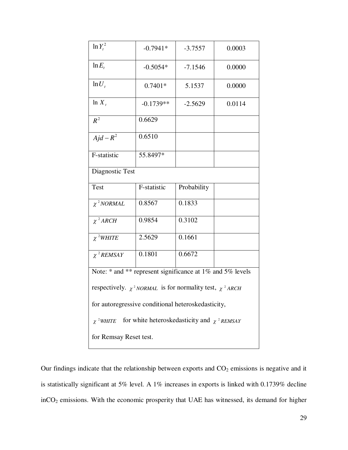| $\ln Y_t^2$                                                                              | $-0.7941*$  | $-3.7557$   | 0.0003 |  |  |  |  |  |
|------------------------------------------------------------------------------------------|-------------|-------------|--------|--|--|--|--|--|
| $ln E_t$                                                                                 | $-0.5054*$  | $-7.1546$   | 0.0000 |  |  |  |  |  |
| $ln U_t$                                                                                 | $0.7401*$   | 5.1537      | 0.0000 |  |  |  |  |  |
| $\ln X_t$                                                                                | $-0.1739**$ | $-2.5629$   | 0.0114 |  |  |  |  |  |
| $R^2$                                                                                    | 0.6629      |             |        |  |  |  |  |  |
| $Ajd - R^2$                                                                              | 0.6510      |             |        |  |  |  |  |  |
| F-statistic                                                                              | 55.8497*    |             |        |  |  |  |  |  |
| Diagnostic Test                                                                          |             |             |        |  |  |  |  |  |
| <b>Test</b>                                                                              | F-statistic | Probability |        |  |  |  |  |  |
| $\chi^2$ NORMAL                                                                          | 0.8567      | 0.1833      |        |  |  |  |  |  |
| $\chi^2$ ARCH                                                                            | 0.9854      | 0.3102      |        |  |  |  |  |  |
| $\chi$ <sup>2</sup> WHITE                                                                | 2.5629      | 0.1661      |        |  |  |  |  |  |
| $\chi^2$ REMSAY                                                                          | 0.1801      | 0.6672      |        |  |  |  |  |  |
| Note: * and ** represent significance at 1% and 5% levels                                |             |             |        |  |  |  |  |  |
| respectively. $\chi^2$ NORMAL is for normality test, $\chi^2$ ARCH                       |             |             |        |  |  |  |  |  |
| for autoregressive conditional heteroskedasticity,                                       |             |             |        |  |  |  |  |  |
| for white heteroskedasticity and $\chi$ <sup>2</sup> REMSAY<br>$\chi$ <sup>2</sup> WHITE |             |             |        |  |  |  |  |  |
| for Remsay Reset test.                                                                   |             |             |        |  |  |  |  |  |

Our findings indicate that the relationship between exports and  $CO<sub>2</sub>$  emissions is negative and it is statistically significant at 5% level. A 1% increases in exports is linked with 0.1739% decline inCO2 emissions. With the economic prosperity that UAE has witnessed, its demand for higher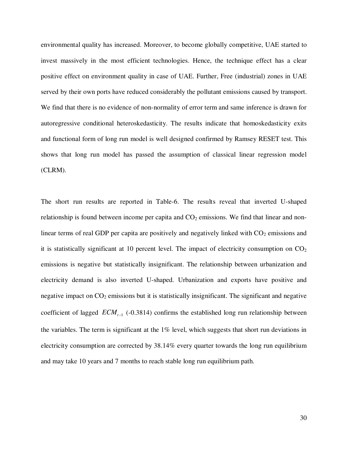environmental quality has increased. Moreover, to become globally competitive, UAE started to invest massively in the most efficient technologies. Hence, the technique effect has a clear positive effect on environment quality in case of UAE. Further, Free (industrial) zones in UAE served by their own ports have reduced considerably the pollutant emissions caused by transport. We find that there is no evidence of non-normality of error term and same inference is drawn for autoregressive conditional heteroskedasticity. The results indicate that homoskedasticity exits and functional form of long run model is well designed confirmed by Ramsey RESET test. This shows that long run model has passed the assumption of classical linear regression model (CLRM).

The short run results are reported in Table-6. The results reveal that inverted U-shaped relationship is found between income per capita and  $CO<sub>2</sub>$  emissions. We find that linear and nonlinear terms of real GDP per capita are positively and negatively linked with  $CO<sub>2</sub>$  emissions and it is statistically significant at 10 percent level. The impact of electricity consumption on  $CO<sub>2</sub>$ emissions is negative but statistically insignificant. The relationship between urbanization and electricity demand is also inverted U-shaped. Urbanization and exports have positive and negative impact on  $CO<sub>2</sub>$  emissions but it is statistically insignificant. The significant and negative coefficient of lagged  $ECM<sub>t-1</sub>$  (-0.3814) confirms the established long run relationship between the variables. The term is significant at the 1% level, which suggests that short run deviations in electricity consumption are corrected by 38.14% every quarter towards the long run equilibrium and may take 10 years and 7 months to reach stable long run equilibrium path.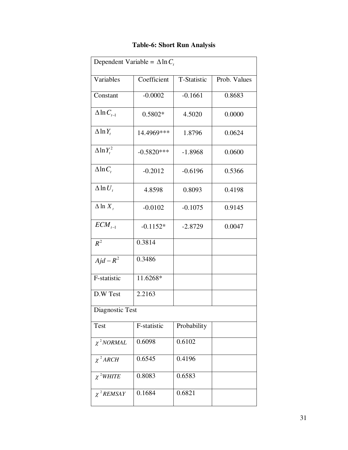| Dependent Variable = $\Delta \ln C_t$ |              |                             |        |  |  |  |  |  |
|---------------------------------------|--------------|-----------------------------|--------|--|--|--|--|--|
| Variables                             | Coefficient  | T-Statistic<br>Prob. Values |        |  |  |  |  |  |
| Constant                              | $-0.0002$    | $-0.1661$                   | 0.8683 |  |  |  |  |  |
| $\Delta$ ln $C_{t-1}$                 | $0.5802*$    | 4.5020                      | 0.0000 |  |  |  |  |  |
| $\Delta$ ln $Y_t$                     | 14.4969***   | 1.8796                      | 0.0624 |  |  |  |  |  |
| $\Delta \ln Y_t^2$                    | $-0.5820***$ | $-1.8968$                   | 0.0600 |  |  |  |  |  |
| $\Delta$ ln $C_t$                     | $-0.2012$    | $-0.6196$                   | 0.5366 |  |  |  |  |  |
| $\Delta$ ln $U_t$                     | 4.8598       | 0.8093                      | 0.4198 |  |  |  |  |  |
| $\Delta$ ln $X_t$                     | $-0.0102$    | $-0.1075$                   | 0.9145 |  |  |  |  |  |
| $ECM_{t-1}$                           | $-0.1152*$   | $-2.8729$                   | 0.0047 |  |  |  |  |  |
| $R^2$                                 | 0.3814       |                             |        |  |  |  |  |  |
| $Ajd - R^2$                           | 0.3486       |                             |        |  |  |  |  |  |
| F-statistic                           | 11.6268*     |                             |        |  |  |  |  |  |
| D.W Test                              | 2.2163       |                             |        |  |  |  |  |  |
| Diagnostic Test                       |              |                             |        |  |  |  |  |  |
| <b>Test</b>                           | F-statistic  | Probability                 |        |  |  |  |  |  |
| $\chi^2$ NORMAL                       | 0.6098       | 0.6102                      |        |  |  |  |  |  |
| $\chi^2$ ARCH                         | 0.6545       | 0.4196                      |        |  |  |  |  |  |
| $\chi$ <sup>2</sup> WHITE             | 0.8083       | 0.6583                      |        |  |  |  |  |  |
| $\chi^2$ REMSAY                       | 0.1684       | 0.6821                      |        |  |  |  |  |  |

### **Table-6: Short Run Analysis**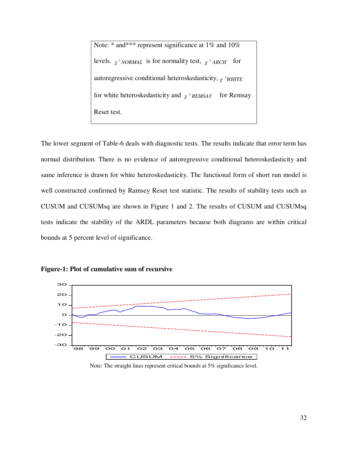Note: \* and\*\*\* represent significance at 1% and 10% levels.  $\chi^2$  *NORMAL* is for normality test,  $\chi^2$  *ARCH* for autoregressive conditional heteroskedasticity,  $\chi$ <sup>2</sup>WHITE for white heteroskedasticity and  $\chi$ <sup>2</sup> REMSAY for Remsay Reset test.

The lower segment of Table-6 deals with diagnostic tests. The results indicate that error term has normal distribution. There is no evidence of autoregressive conditional heteroskedasticity and same inference is drawn for white heteroskedasticity. The functional form of short run model is well constructed confirmed by Ramsey Reset test statistic. The results of stability tests such as CUSUM and CUSUMsq are shown in Figure 1 and 2. The results of CUSUM and CUSUMsq tests indicate the stability of the ARDL parameters because both diagrams are within critical bounds at 5 percent level of significance.



**Figure-1: Plot of cumulative sum of recursive** 

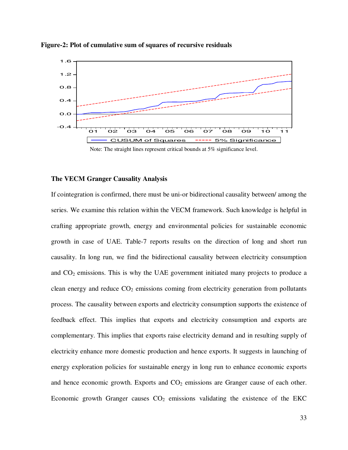

**Figure-2: Plot of cumulative sum of squares of recursive residuals** 

#### **The VECM Granger Causality Analysis**

If cointegration is confirmed, there must be uni-or bidirectional causality between/ among the series. We examine this relation within the VECM framework. Such knowledge is helpful in crafting appropriate growth, energy and environmental policies for sustainable economic growth in case of UAE. Table-7 reports results on the direction of long and short run causality. In long run, we find the bidirectional causality between electricity consumption and  $CO<sub>2</sub>$  emissions. This is why the UAE government initiated many projects to produce a clean energy and reduce  $CO<sub>2</sub>$  emissions coming from electricity generation from pollutants process. The causality between exports and electricity consumption supports the existence of feedback effect. This implies that exports and electricity consumption and exports are complementary. This implies that exports raise electricity demand and in resulting supply of electricity enhance more domestic production and hence exports. It suggests in launching of energy exploration policies for sustainable energy in long run to enhance economic exports and hence economic growth. Exports and  $CO<sub>2</sub>$  emissions are Granger cause of each other. Economic growth Granger causes  $CO<sub>2</sub>$  emissions validating the existence of the EKC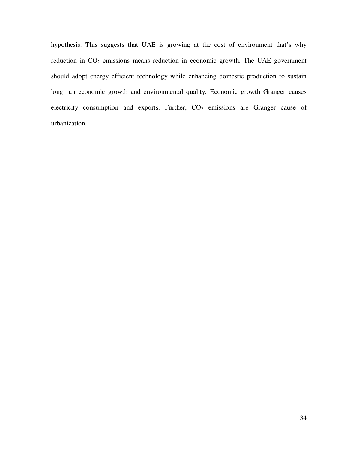hypothesis. This suggests that UAE is growing at the cost of environment that's why reduction in  $CO<sub>2</sub>$  emissions means reduction in economic growth. The UAE government should adopt energy efficient technology while enhancing domestic production to sustain long run economic growth and environmental quality. Economic growth Granger causes electricity consumption and exports. Further,  $CO<sub>2</sub>$  emissions are Granger cause of urbanization.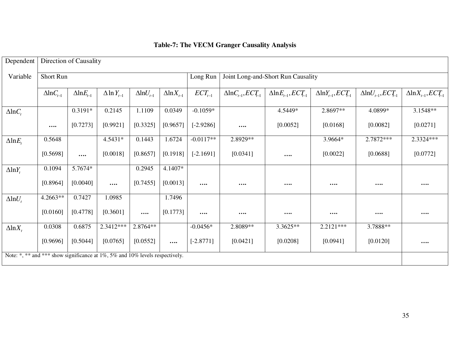| Dependent                                                                    | Direction of Causality |                       |                       |                       |                       |                         |                                    |                                     |                                    |                                    |                                     |
|------------------------------------------------------------------------------|------------------------|-----------------------|-----------------------|-----------------------|-----------------------|-------------------------|------------------------------------|-------------------------------------|------------------------------------|------------------------------------|-------------------------------------|
| Variable                                                                     | Short Run              |                       |                       |                       | Long Run              |                         | Joint Long-and-Short Run Causality |                                     |                                    |                                    |                                     |
|                                                                              | $\Delta$ ln $C_{t-1}$  | $\Delta$ ln $E_{t-1}$ | $\Delta$ ln $Y_{t-1}$ | $\Delta$ ln $U_{t-1}$ | $\Delta$ ln $X_{t-1}$ | $\mathit{ECT}_{_{t-1}}$ | $\Delta$ ln $C_{t-1}$ , $ECT_{-1}$ | $\Delta$ ln $E_{t-1}$ , $ECT_{t-1}$ | $\Delta$ ln $Y_{t-1}$ , $ECT_{-1}$ | $\Delta$ ln $U_{t-1}$ , $ECT_{-1}$ | $\Delta$ ln $X_{t-1}$ , $ECT_{t-1}$ |
| $\Delta$ ln $C_t$                                                            |                        | $0.3191*$             | 0.2145                | 1.1109                | 0.0349                | $-0.1059*$              |                                    | 4.5449*                             | 2.8697**                           | 4.0899*                            | $3.1548**$                          |
|                                                                              | $\cdots$               | [0.7273]              | [0.9921]              | [0.3325]              | [0.9657]              | $[-2.9286]$             | $\cdots$                           | [0.0052]                            | [0.0168]                           | [0.0082]                           | [0.0271]                            |
| $\triangle \ln E_{t}$                                                        | 0.5648                 |                       | 4.5431*               | 0.1443                | 1.6724                | $-0.0117**$             | 2.8929**                           |                                     | 3.9664*                            | 2.7872***                          | 2.3324***                           |
|                                                                              | [0.5698]               | $\cdots$              | [0.0018]              | [0.8657]              | [0.1918]              | $[-2.1691]$             | [0.0341]                           | $\cdots$                            | [0.0022]                           | [0.0688]                           | [0.0772]                            |
| $\Delta$ ln $Y_t$                                                            | 0.1094                 | 5.7674*               |                       | 0.2945                | 4.1407*               |                         |                                    |                                     |                                    |                                    |                                     |
|                                                                              | [0.8964]               | [0.0040]              | $\cdots$              | [0.7455]              | [0.0013]              | $\cdots$                | $\cdots$                           |                                     | $\cdots$                           |                                    | $\cdots$                            |
| $\Delta$ ln $U_t$                                                            | 4.2663**               | 0.7427                | 1.0985                |                       | 1.7496                |                         |                                    |                                     |                                    |                                    |                                     |
|                                                                              | [0.0160]               | [0.4778]              | [0.3601]              | $\cdots$              | [0.1773]              | $\cdots$                | $\cdots$                           | $\bullet\bullet\bullet\bullet$      | $\cdots$                           |                                    | $\bullet\bullet\bullet\bullet$      |
| $\Delta$ ln $X_t$                                                            | 0.0308                 | 0.6875                | 2.3412***             | 2.8764**              |                       | $-0.0456*$              | 2.8089**                           | 3.3625**                            | $2.2121***$                        | 3.7888**                           |                                     |
|                                                                              | [0.9696]               | [0.5044]              | [0.0765]              | [0.0552]              | $\cdots$              | $[-2.8771]$             | [0.0421]                           | [0.0208]                            | [0.0941]                           | [0.0120]                           | $\cdots$                            |
| Note: *, ** and *** show significance at 1%, 5% and 10% levels respectively. |                        |                       |                       |                       |                       |                         |                                    |                                     |                                    |                                    |                                     |

## **Table-7: The VECM Granger Causality Analysis**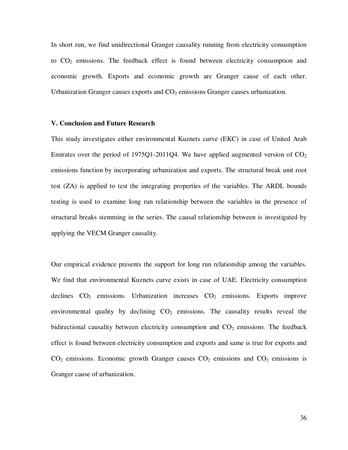In short run, we find unidirectional Granger causality running from electricity consumption to  $CO<sub>2</sub>$  emissions. The feedback effect is found between electricity consumption and economic growth. Exports and economic growth are Granger cause of each other. Urbanization Granger causes exports and  $CO<sub>2</sub>$  emissions Granger causes urbanization.

#### **V. Conclusion and Future Research**

This study investigates either environmental Kuznets curve (EKC) in case of United Arab Emirates over the period of 1975Q1-2011Q4. We have applied augmented version of  $CO<sub>2</sub>$ emissions function by incorporating urbanization and exports. The structural break unit root test (ZA) is applied to test the integrating properties of the variables. The ARDL bounds testing is used to examine long run relationship between the variables in the presence of structural breaks stemming in the series. The causal relationship between is investigated by applying the VECM Granger causality.

Our empirical evidence presents the support for long run relationship among the variables. We find that environmental Kuznets curve exists in case of UAE. Electricity consumption declines  $CO<sub>2</sub>$  emissions. Urbanization increases  $CO<sub>2</sub>$  emissions. Exports improve environmental quality by declining  $CO<sub>2</sub>$  emissions. The causality results reveal the bidirectional causality between electricity consumption and  $CO<sub>2</sub>$  emissions. The feedback effect is found between electricity consumption and exports and same is true for exports and  $CO<sub>2</sub>$  emissions. Economic growth Granger causes  $CO<sub>2</sub>$  emissions and  $CO<sub>2</sub>$  emissions is Granger cause of urbanization.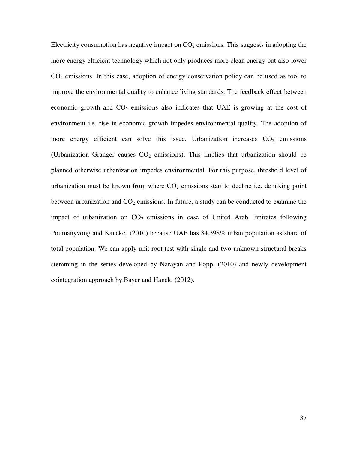Electricity consumption has negative impact on  $CO<sub>2</sub>$  emissions. This suggests in adopting the more energy efficient technology which not only produces more clean energy but also lower  $CO<sub>2</sub>$  emissions. In this case, adoption of energy conservation policy can be used as tool to improve the environmental quality to enhance living standards. The feedback effect between economic growth and  $CO<sub>2</sub>$  emissions also indicates that UAE is growing at the cost of environment i.e. rise in economic growth impedes environmental quality. The adoption of more energy efficient can solve this issue. Urbanization increases  $CO<sub>2</sub>$  emissions (Urbanization Granger causes  $CO<sub>2</sub>$  emissions). This implies that urbanization should be planned otherwise urbanization impedes environmental. For this purpose, threshold level of urbanization must be known from where  $CO<sub>2</sub>$  emissions start to decline i.e. delinking point between urbanization and  $CO<sub>2</sub>$  emissions. In future, a study can be conducted to examine the impact of urbanization on  $CO<sub>2</sub>$  emissions in case of United Arab Emirates following Poumanyvong and Kaneko, (2010) because UAE has 84.398% urban population as share of total population. We can apply unit root test with single and two unknown structural breaks stemming in the series developed by Narayan and Popp, (2010) and newly development cointegration approach by Bayer and Hanck, (2012).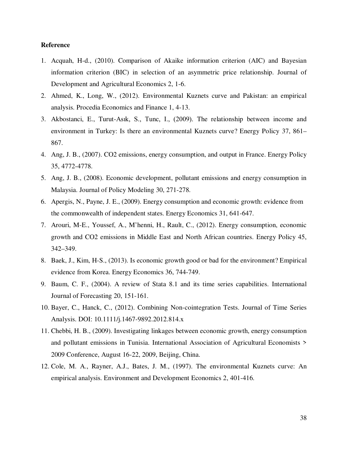#### **Reference**

- 1. Acquah, H-d., (2010). Comparison of Akaike information criterion (AIC) and Bayesian information criterion (BIC) in selection of an asymmetric price relationship. Journal of Development and Agricultural Economics 2, 1-6.
- 2. Ahmed, K., Long, W., (2012). Environmental Kuznets curve and Pakistan: an empirical analysis. Procedia Economics and Finance 1, 4-13.
- 3. Akbostanci, E., Turut-Asık, S., Tunc, I., (2009). The relationship between income and environment in Turkey: Is there an environmental Kuznets curve? Energy Policy 37, 861– 867.
- 4. Ang, J. B., (2007). CO2 emissions, energy consumption, and output in France. Energy Policy 35, 4772-4778.
- 5. Ang, J. B., (2008). Economic development, pollutant emissions and energy consumption in Malaysia. Journal of Policy Modeling 30, 271-278.
- 6. Apergis, N., Payne, J. E., (2009). Energy consumption and economic growth: evidence from the commonwealth of independent states. Energy Economics 31, 641-647.
- 7. Arouri, M-E., Youssef, A., M'henni, H., Rault, C., (2012). Energy consumption, economic growth and CO2 emissions in Middle East and North African countries. Energy Policy 45, 342–349.
- 8. Baek, J., Kim, H-S., (2013). Is economic growth good or bad for the environment? Empirical evidence from Korea. Energy Economics 36, 744-749.
- 9. Baum, C. F., (2004). A review of Stata 8.1 and its time series capabilities. International Journal of Forecasting 20, 151-161.
- 10. Bayer, C., Hanck, C., (2012). Combining Non-cointegration Tests. Journal of Time Series Analysis. DOI: 10.1111/j.1467-9892.2012.814.x
- 11. Chebbi, H. B., (2009). Investigating linkages between economic growth, energy consumption and pollutant emissions in Tunisia. International Association of Agricultural Economists > 2009 Conference, August 16-22, 2009, Beijing, China.
- 12. Cole, M. A., Rayner, A.J., Bates, J. M., (1997). The environmental Kuznets curve: An empirical analysis. Environment and Development Economics 2, 401-416.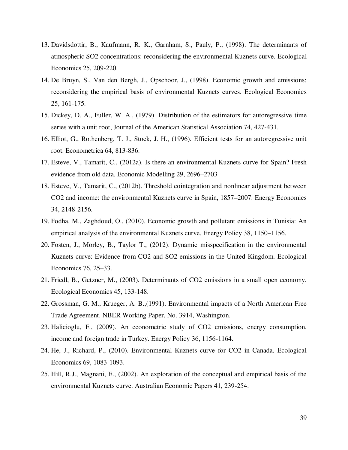- 13. Davidsdottir, B., Kaufmann, R. K., Garnham, S., Pauly, P., (1998). The determinants of atmospheric SO2 concentrations: reconsidering the environmental Kuznets curve. Ecological Economics 25, 209-220.
- 14. De Bruyn, S., Van den Bergh, J., Opschoor, J., (1998). Economic growth and emissions: reconsidering the empirical basis of environmental Kuznets curves. Ecological Economics 25, 161-175.
- 15. Dickey, D. A., Fuller, W. A., (1979). Distribution of the estimators for autoregressive time series with a unit root, Journal of the American Statistical Association 74, 427-431.
- 16. Elliot, G., Rothenberg, T. J., Stock, J. H., (1996). Efficient tests for an autoregressive unit root. Econometrica 64, 813-836.
- 17. Esteve, V., Tamarit, C., (2012a). Is there an environmental Kuznets curve for Spain? Fresh evidence from old data. Economic Modelling 29, 2696–2703
- 18. Esteve, V., Tamarit, C., (2012b). Threshold cointegration and nonlinear adjustment between CO2 and income: the environmental Kuznets curve in Spain, 1857–2007. Energy Economics 34, 2148-2156.
- 19. Fodha, M., Zaghdoud, O., (2010). Economic growth and pollutant emissions in Tunisia: An empirical analysis of the environmental Kuznets curve. Energy Policy 38, 1150–1156.
- 20. Fosten, J., Morley, B., Taylor T., (2012). Dynamic misspecification in the environmental Kuznets curve: Evidence from CO2 and SO2 emissions in the United Kingdom. Ecological Economics 76, 25–33.
- 21. Friedl, B., Getzner, M., (2003). Determinants of CO2 emissions in a small open economy. Ecological Economics 45, 133-148.
- 22. Grossman, G. M., Krueger, A. B.,(1991). Environmental impacts of a North American Free Trade Agreement. NBER Working Paper, No. 3914, Washington.
- 23. Halicioglu, F., (2009). An econometric study of CO2 emissions, energy consumption, income and foreign trade in Turkey. Energy Policy 36, 1156-1164.
- 24. He, J., Richard, P., (2010). Environmental Kuznets curve for CO2 in Canada. Ecological Economics 69, 1083-1093.
- 25. Hill, R.J., Magnani, E., (2002). An exploration of the conceptual and empirical basis of the environmental Kuznets curve. Australian Economic Papers 41, 239-254.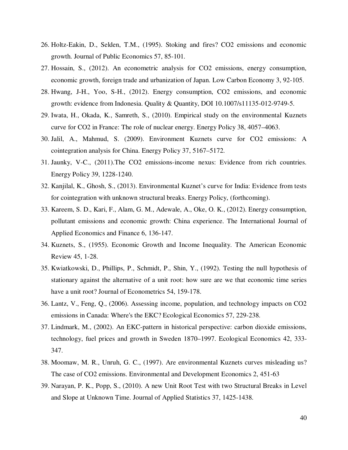- 26. Holtz-Eakin, D., Selden, T.M., (1995). Stoking and fires? CO2 emissions and economic growth. Journal of Public Economics 57, 85-101.
- 27. Hossain, S., (2012). An econometric analysis for CO2 emissions, energy consumption, economic growth, foreign trade and urbanization of Japan. Low Carbon Economy 3, 92-105.
- 28. Hwang, J-H., Yoo, S-H., (2012). Energy consumption, CO2 emissions, and economic growth: evidence from Indonesia. Quality & Quantity, DOI 10.1007/s11135-012-9749-5.
- 29. Iwata, H., Okada, K., Samreth, S., (2010). Empirical study on the environmental Kuznets curve for CO2 in France: The role of nuclear energy. Energy Policy 38, 4057–4063.
- 30. Jalil, A., Mahmud, S. (2009). Environment Kuznets curve for CO2 emissions: A cointegration analysis for China. Energy Policy 37, 5167–5172.
- 31. Jaunky, V-C., (2011).The CO2 emissions-income nexus: Evidence from rich countries. Energy Policy 39, 1228-1240.
- 32. Kanjilal, K., Ghosh, S., (2013). Environmental Kuznet's curve for India: Evidence from tests for cointegration with unknown structural breaks. Energy Policy, (forthcoming).
- 33. Kareem, S. D., Kari, F., Alam, G. M., Adewale, A., Oke, O. K., (2012). Energy consumption, pollutant emissions and economic growth: China experience. The International Journal of Applied Economics and Finance 6, 136-147.
- 34. Kuznets, S., (1955). Economic Growth and Income Inequality. The American Economic Review 45, 1-28.
- 35. Kwiatkowski, D., Phillips, P., Schmidt, P., Shin, Y., (1992). Testing the null hypothesis of stationary against the alternative of a unit root: how sure are we that economic time series have a unit root? Journal of Econometrics 54, 159-178.
- 36. Lantz, V., Feng, Q., (2006). Assessing income, population, and technology impacts on CO2 emissions in Canada: Where's the EKC? Ecological Economics 57, 229-238.
- 37. Lindmark, M., (2002). An EKC-pattern in historical perspective: carbon dioxide emissions, technology, fuel prices and growth in Sweden 1870–1997. Ecological Economics 42, 333- 347.
- 38. Moomaw, M. R., Unruh, G. C., (1997). Are environmental Kuznets curves misleading us? The case of CO2 emissions. Environmental and Development Economics 2, 451-63
- 39. Narayan, P. K., Popp, S., (2010). A new Unit Root Test with two Structural Breaks in Level and Slope at Unknown Time. Journal of Applied Statistics 37, 1425-1438.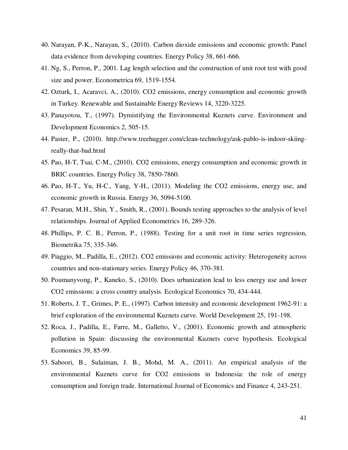- 40. Narayan, P-K., Narayan, S., (2010). Carbon dioxide emissions and economic growth: Panel data evidence from developing countries. Energy Policy 38, 661-666.
- 41. Ng, S., Perron, P., 2001. Lag length selection and the construction of unit root test with good size and power. Econometrica 69, 1519-1554.
- 42. Ozturk, I., Acaravci, A., (2010). CO2 emissions, energy consumption and economic growth in Turkey. Renewable and Sustainable Energy Reviews 14, 3220-3225.
- 43. Panayotou, T., (1997). Dymistifying the Environmental Kuznets curve. Environment and Development Economics 2, 505-15.
- 44. Paster, P., (2010). http://www.treehugger.com/clean-technology/ask-pablo-is-indoor-skiingreally-that-bad.html
- 45. Pao, H-T, Tsai, C-M., (2010). CO2 emissions, energy consumption and economic growth in BRIC countries. Energy Policy 38, 7850-7860.
- 46. Pao, H-T., Yu, H-C., Yang, Y-H., (2011). Modeling the CO2 emissions, energy use, and economic growth in Russia. Energy 36, 5094-5100.
- 47. Pesaran, M.H., Shin, Y., Smith, R., (2001). Bounds testing approaches to the analysis of level relationships. Journal of Applied Econometrics 16, 289-326.
- 48. Phillips, P. C. B., Perron, P., (1988). Testing for a unit root in time series regression, Biometrika 75, 335-346.
- 49. Piaggio, M., Padilla, E., (2012). CO2 emissions and economic activity: Heterogeneity across countries and non-stationary series. Energy Policy 46, 370-381.
- 50. Poumanyvong, P., Kaneko, S., (2010). Does urbanization lead to less energy use and lower CO2 emissions: a cross country analysis. Ecological Economics 70, 434-444.
- 51. Roberts, J. T., Grimes, P. E., (1997). Carbon intensity and economic development 1962-91: a brief exploration of the environmental Kuznets curve. World Development 25, 191-198.
- 52. Roca, J., Padilla, E., Farre, M., Galletto, V., (2001). Economic growth and atmospheric pollution in Spain: discussing the environmental Kuznets curve hypothesis. Ecological Economics 39, 85-99.
- 53. Saboori, B., Sulaiman, J. B., Mohd, M. A., (2011). An empirical analysis of the environmental Kuznets curve for CO2 emissions in Indonesia: the role of energy consumption and foreign trade. International Journal of Economics and Finance 4, 243-251.